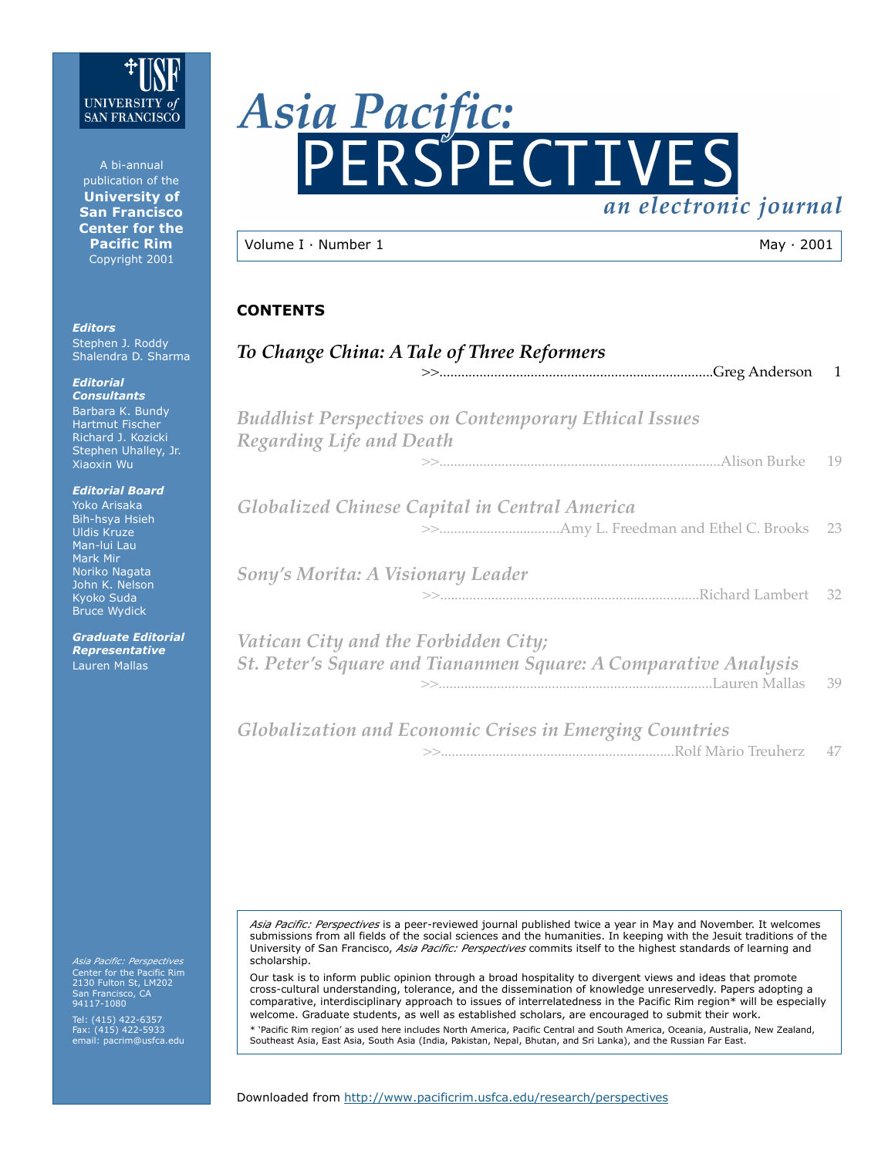

A bi-annual publication of the **University of San Francisco Center for the Pacific Rim** Copyright 2001

*Editors* Stephen J. Roddy Shalendra D. Sharma

*Editorial Consultants* Barbara K. Bundy Hartmut Fischer Richard J. Kozicki Stephen Uhalley, Jr. Xiaoxin Wu

*Editorial Board* Yoko Arisaka Bih-hsya Hsieh Uldis Kruze Man-lui Lau Mark Mir Noriko Nagata

John K. Nelson Kyoko Suda Bruce Wydick

*Graduate Editorial Representative* Lauren Mallas

*Asia Pacific: Perspectives* Center for the Pacific Rim 2130 Fulton St, LM202 San Francisco, CA 94117-1080

Tel: (415) 422-6357 Fax: (415) 422-5933 email: pacrim@usfca.edu



| $\vert$ Volume I $\cdot$ Number 1 | $Mav \cdot 2001$ |
|-----------------------------------|------------------|
|                                   |                  |

# **CONTENTS**

| To Change China: A Tale of Three Reformers                                                              | -1 |
|---------------------------------------------------------------------------------------------------------|----|
| <b>Buddhist Perspectives on Contemporary Ethical Issues</b>                                             |    |
| Regarding Life and Death                                                                                | 19 |
| Globalized Chinese Capital in Central America                                                           |    |
| Sony's Morita: A Visionary Leader                                                                       |    |
| Vatican City and the Forbidden City;<br>St. Peter's Square and Tiananmen Square: A Comparative Analysis | 39 |
| <b>Globalization and Economic Crises in Emerging Countries</b>                                          | 47 |

*Asia Pacific: Perspectives* is a peer-reviewed journal published twice a year in May and November. It welcomes submissions from all fields of the social sciences and the humanities. In keeping with the Jesuit traditions of the University of San Francisco, *Asia Pacific: Perspectives* commits itself to the highest standards of learning and scholarship.

Our task is to inform public opinion through a broad hospitality to divergent views and ideas that promote cross-cultural understanding, tolerance, and the dissemination of knowledge unreservedly. Papers adopting a comparative, interdisciplinary approach to issues of interrelatedness in the Pacific Rim region\* will be especially welcome. Graduate students, as well as established scholars, are encouraged to submit their work.

\* 'Pacific Rim region' as used here includes North America, Pacific Central and South America, Oceania, Australia, New Zealand, Southeast Asia, East Asia, South Asia (India, Pakistan, Nepal, Bhutan, and Sri Lanka), and the Russian Far East.

Downloaded from http://www.pacificrim.usfca.edu/research/perspectives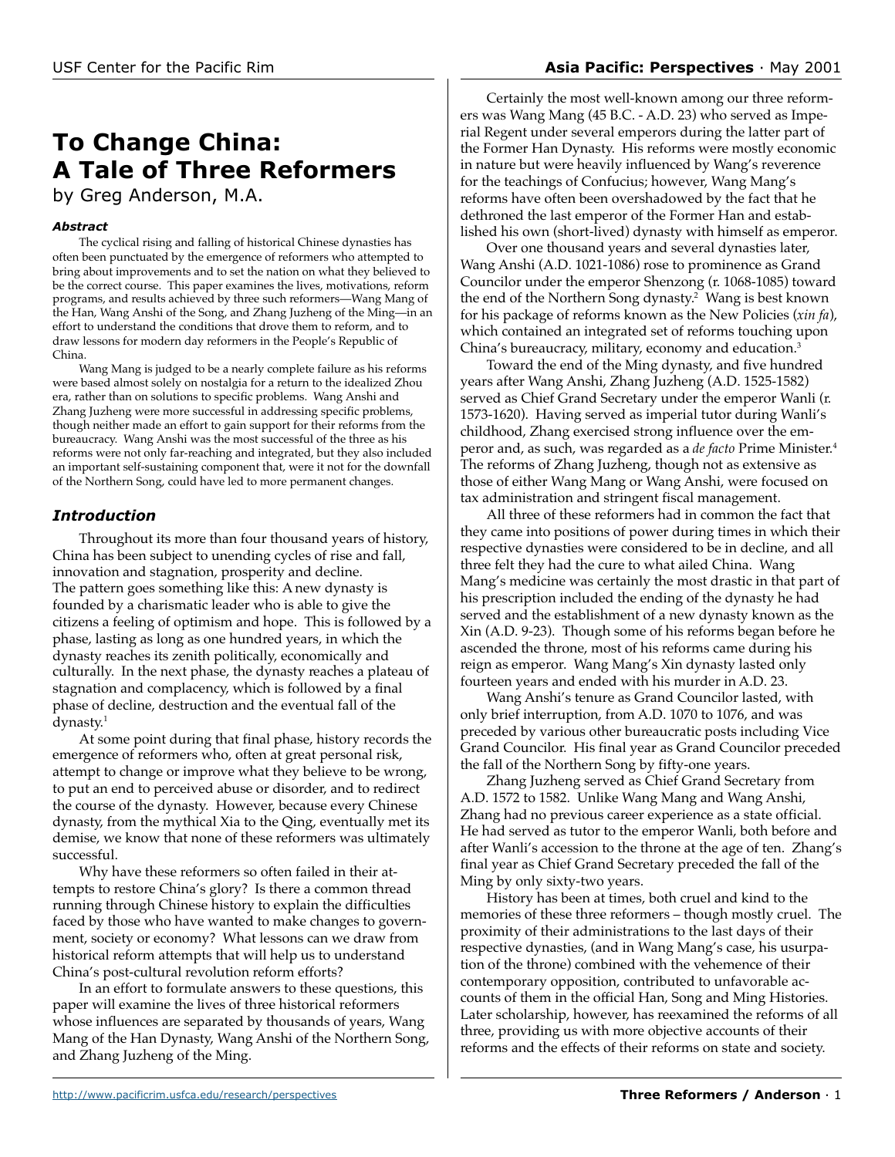# USF Center for the Pacific Rim **Asia Pacific: Perspectives** · May 2001

# **To Change China: A Tale of Three Reformers**

by Greg Anderson, M.A.

### *Abstract*

The cyclical rising and falling of historical Chinese dynasties has often been punctuated by the emergence of reformers who attempted to bring about improvements and to set the nation on what they believed to be the correct course. This paper examines the lives, motivations, reform programs, and results achieved by three such reformers—Wang Mang of the Han, Wang Anshi of the Song, and Zhang Juzheng of the Ming—in an effort to understand the conditions that drove them to reform, and to draw lessons for modern day reformers in the People's Republic of China.

Wang Mang is judged to be a nearly complete failure as his reforms were based almost solely on nostalgia for a return to the idealized Zhou era, rather than on solutions to specific problems. Wang Anshi and Zhang Juzheng were more successful in addressing specific problems, though neither made an effort to gain support for their reforms from the bureaucracy. Wang Anshi was the most successful of the three as his reforms were not only far-reaching and integrated, but they also included an important self-sustaining component that, were it not for the downfall of the Northern Song, could have led to more permanent changes.

# *Introduction*

Throughout its more than four thousand years of history, China has been subject to unending cycles of rise and fall, innovation and stagnation, prosperity and decline. The pattern goes something like this: A new dynasty is founded by a charismatic leader who is able to give the citizens a feeling of optimism and hope. This is followed by a phase, lasting as long as one hundred years, in which the dynasty reaches its zenith politically, economically and culturally. In the next phase, the dynasty reaches a plateau of stagnation and complacency, which is followed by a final phase of decline, destruction and the eventual fall of the dynasty.<sup>1</sup>

At some point during that final phase, history records the emergence of reformers who, often at great personal risk, attempt to change or improve what they believe to be wrong, to put an end to perceived abuse or disorder, and to redirect the course of the dynasty. However, because every Chinese dynasty, from the mythical Xia to the Qing, eventually met its demise, we know that none of these reformers was ultimately successful.

Why have these reformers so often failed in their attempts to restore China's glory? Is there a common thread running through Chinese history to explain the difficulties faced by those who have wanted to make changes to government, society or economy? What lessons can we draw from historical reform attempts that will help us to understand China's post-cultural revolution reform efforts?

In an effort to formulate answers to these questions, this paper will examine the lives of three historical reformers whose influences are separated by thousands of years, Wang Mang of the Han Dynasty, Wang Anshi of the Northern Song, and Zhang Juzheng of the Ming.

Certainly the most well-known among our three reformers was Wang Mang (45 B.C. - A.D. 23) who served as Imperial Regent under several emperors during the latter part of the Former Han Dynasty. His reforms were mostly economic in nature but were heavily influenced by Wang's reverence for the teachings of Confucius; however, Wang Mang's reforms have often been overshadowed by the fact that he dethroned the last emperor of the Former Han and established his own (short-lived) dynasty with himself as emperor.

Over one thousand years and several dynasties later, Wang Anshi (A.D. 1021-1086) rose to prominence as Grand Councilor under the emperor Shenzong (r. 1068-1085) toward the end of the Northern Song dynasty.<sup>2</sup> Wang is best known for his package of reforms known as the New Policies (*xin fa*), which contained an integrated set of reforms touching upon China's bureaucracy, military, economy and education.3

Toward the end of the Ming dynasty, and five hundred years after Wang Anshi, Zhang Juzheng (A.D. 1525-1582) served as Chief Grand Secretary under the emperor Wanli (r. 1573-1620). Having served as imperial tutor during Wanli's childhood, Zhang exercised strong influence over the emperor and, as such, was regarded as a *de facto* Prime Minister.4 The reforms of Zhang Juzheng, though not as extensive as those of either Wang Mang or Wang Anshi, were focused on tax administration and stringent fiscal management.

All three of these reformers had in common the fact that they came into positions of power during times in which their respective dynasties were considered to be in decline, and all three felt they had the cure to what ailed China. Wang Mang's medicine was certainly the most drastic in that part of his prescription included the ending of the dynasty he had served and the establishment of a new dynasty known as the Xin (A.D. 9-23). Though some of his reforms began before he ascended the throne, most of his reforms came during his reign as emperor. Wang Mang's Xin dynasty lasted only fourteen years and ended with his murder in A.D. 23.

Wang Anshi's tenure as Grand Councilor lasted, with only brief interruption, from A.D. 1070 to 1076, and was preceded by various other bureaucratic posts including Vice Grand Councilor. His final year as Grand Councilor preceded the fall of the Northern Song by fifty-one years.

Zhang Juzheng served as Chief Grand Secretary from A.D. 1572 to 1582. Unlike Wang Mang and Wang Anshi, Zhang had no previous career experience as a state official. He had served as tutor to the emperor Wanli, both before and after Wanli's accession to the throne at the age of ten. Zhang's final year as Chief Grand Secretary preceded the fall of the Ming by only sixty-two years.

History has been at times, both cruel and kind to the memories of these three reformers – though mostly cruel. The proximity of their administrations to the last days of their respective dynasties, (and in Wang Mang's case, his usurpation of the throne) combined with the vehemence of their contemporary opposition, contributed to unfavorable accounts of them in the official Han, Song and Ming Histories. Later scholarship, however, has reexamined the reforms of all three, providing us with more objective accounts of their reforms and the effects of their reforms on state and society.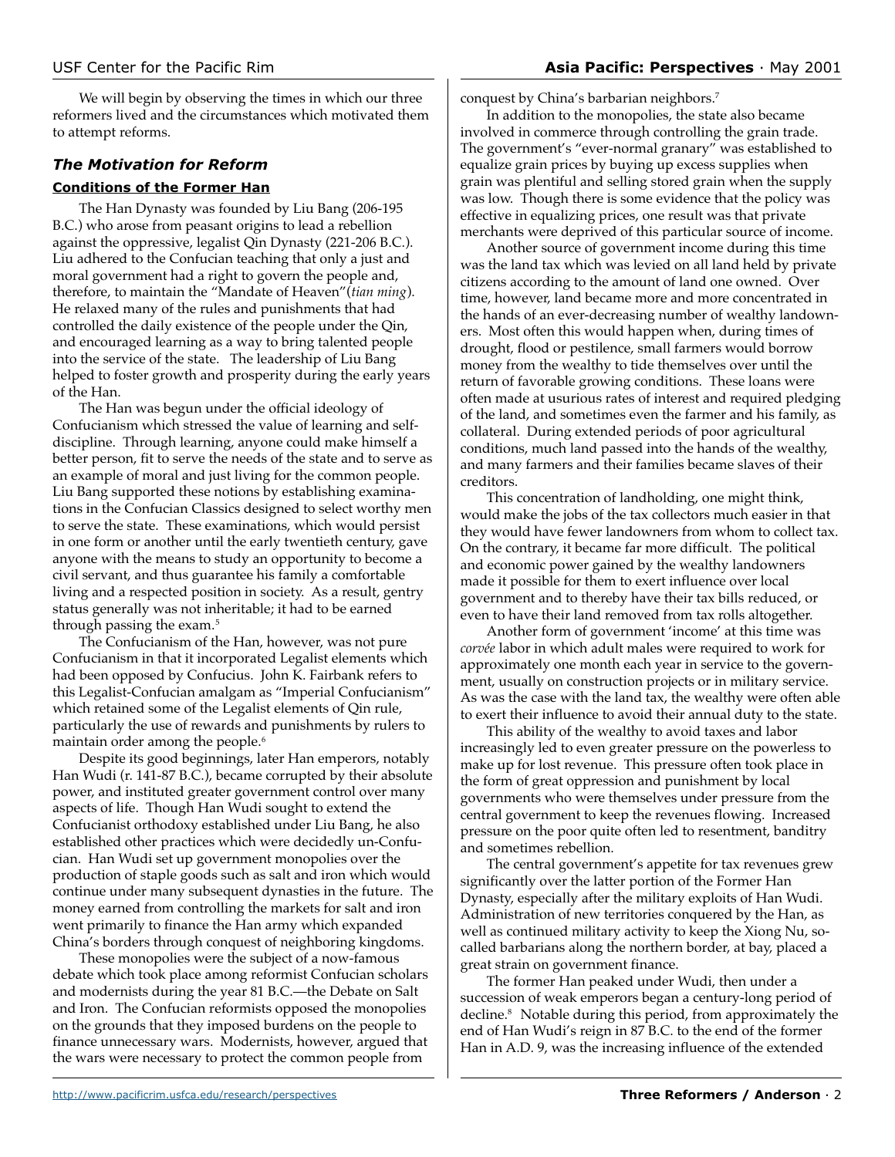We will begin by observing the times in which our three reformers lived and the circumstances which motivated them to attempt reforms.

# *The Motivation for Reform* **Conditions of the Former Han**

The Han Dynasty was founded by Liu Bang (206-195 B.C.) who arose from peasant origins to lead a rebellion against the oppressive, legalist Qin Dynasty (221-206 B.C.). Liu adhered to the Confucian teaching that only a just and moral government had a right to govern the people and, therefore, to maintain the "Mandate of Heaven"(*tian ming*). He relaxed many of the rules and punishments that had controlled the daily existence of the people under the Qin, and encouraged learning as a way to bring talented people into the service of the state. The leadership of Liu Bang helped to foster growth and prosperity during the early years of the Han.

The Han was begun under the official ideology of Confucianism which stressed the value of learning and selfdiscipline. Through learning, anyone could make himself a better person, fit to serve the needs of the state and to serve as an example of moral and just living for the common people. Liu Bang supported these notions by establishing examinations in the Confucian Classics designed to select worthy men to serve the state. These examinations, which would persist in one form or another until the early twentieth century, gave anyone with the means to study an opportunity to become a civil servant, and thus guarantee his family a comfortable living and a respected position in society. As a result, gentry status generally was not inheritable; it had to be earned through passing the exam.<sup>5</sup>

The Confucianism of the Han, however, was not pure Confucianism in that it incorporated Legalist elements which had been opposed by Confucius. John K. Fairbank refers to this Legalist-Confucian amalgam as "Imperial Confucianism" which retained some of the Legalist elements of Qin rule, particularly the use of rewards and punishments by rulers to maintain order among the people.<sup>6</sup>

Despite its good beginnings, later Han emperors, notably Han Wudi (r. 141-87 B.C.), became corrupted by their absolute power, and instituted greater government control over many aspects of life. Though Han Wudi sought to extend the Confucianist orthodoxy established under Liu Bang, he also established other practices which were decidedly un-Confucian. Han Wudi set up government monopolies over the production of staple goods such as salt and iron which would continue under many subsequent dynasties in the future. The money earned from controlling the markets for salt and iron went primarily to finance the Han army which expanded China's borders through conquest of neighboring kingdoms.

These monopolies were the subject of a now-famous debate which took place among reformist Confucian scholars and modernists during the year 81 B.C.—the Debate on Salt and Iron. The Confucian reformists opposed the monopolies on the grounds that they imposed burdens on the people to finance unnecessary wars. Modernists, however, argued that the wars were necessary to protect the common people from

conquest by China's barbarian neighbors.7

In addition to the monopolies, the state also became involved in commerce through controlling the grain trade. The government's "ever-normal granary" was established to equalize grain prices by buying up excess supplies when grain was plentiful and selling stored grain when the supply was low. Though there is some evidence that the policy was effective in equalizing prices, one result was that private merchants were deprived of this particular source of income.

Another source of government income during this time was the land tax which was levied on all land held by private citizens according to the amount of land one owned. Over time, however, land became more and more concentrated in the hands of an ever-decreasing number of wealthy landowners. Most often this would happen when, during times of drought, flood or pestilence, small farmers would borrow money from the wealthy to tide themselves over until the return of favorable growing conditions. These loans were often made at usurious rates of interest and required pledging of the land, and sometimes even the farmer and his family, as collateral. During extended periods of poor agricultural conditions, much land passed into the hands of the wealthy, and many farmers and their families became slaves of their creditors.

This concentration of landholding, one might think, would make the jobs of the tax collectors much easier in that they would have fewer landowners from whom to collect tax. On the contrary, it became far more difficult. The political and economic power gained by the wealthy landowners made it possible for them to exert influence over local government and to thereby have their tax bills reduced, or even to have their land removed from tax rolls altogether.

Another form of government 'income' at this time was *corvée* labor in which adult males were required to work for approximately one month each year in service to the government, usually on construction projects or in military service. As was the case with the land tax, the wealthy were often able to exert their influence to avoid their annual duty to the state.

This ability of the wealthy to avoid taxes and labor increasingly led to even greater pressure on the powerless to make up for lost revenue. This pressure often took place in the form of great oppression and punishment by local governments who were themselves under pressure from the central government to keep the revenues flowing. Increased pressure on the poor quite often led to resentment, banditry and sometimes rebellion.

The central government's appetite for tax revenues grew significantly over the latter portion of the Former Han Dynasty, especially after the military exploits of Han Wudi. Administration of new territories conquered by the Han, as well as continued military activity to keep the Xiong Nu, socalled barbarians along the northern border, at bay, placed a great strain on government finance.

The former Han peaked under Wudi, then under a succession of weak emperors began a century-long period of decline.8 Notable during this period, from approximately the end of Han Wudi's reign in 87 B.C. to the end of the former Han in A.D. 9, was the increasing influence of the extended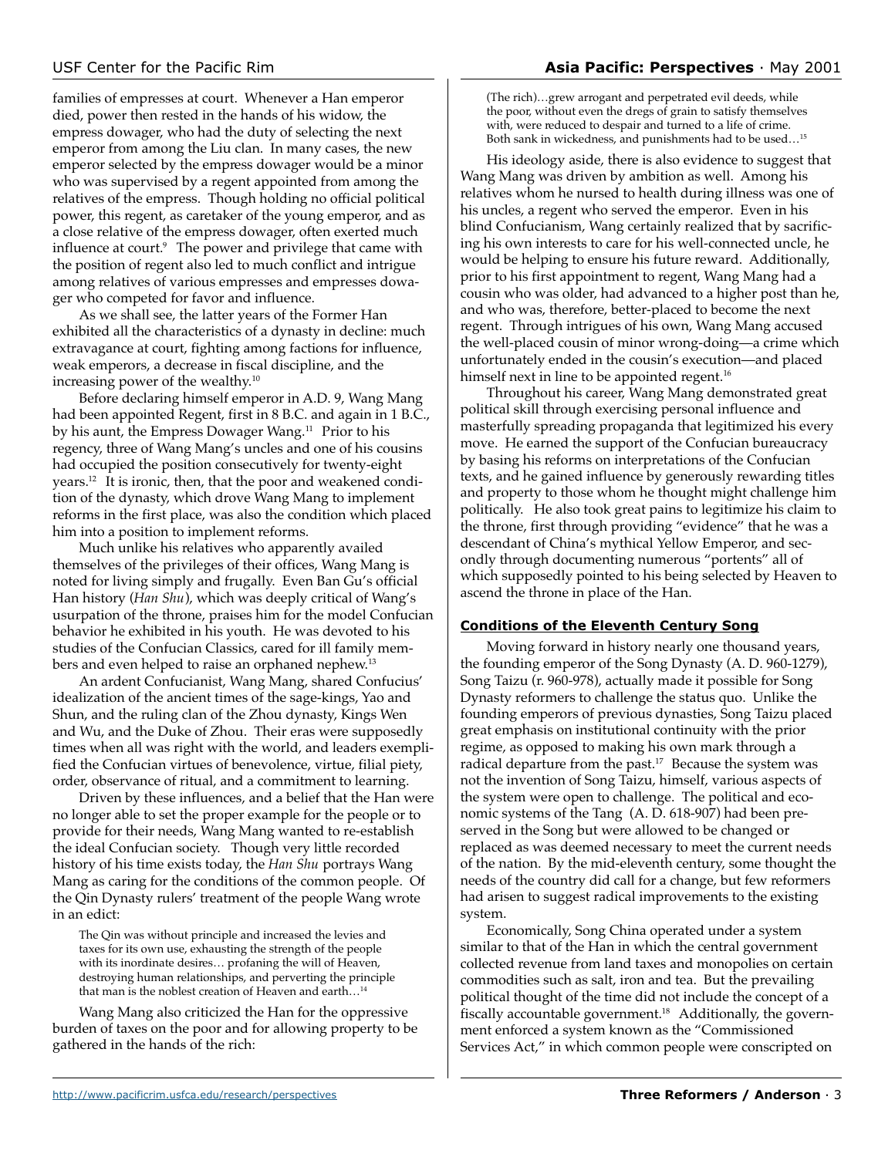families of empresses at court. Whenever a Han emperor died, power then rested in the hands of his widow, the empress dowager, who had the duty of selecting the next emperor from among the Liu clan. In many cases, the new emperor selected by the empress dowager would be a minor who was supervised by a regent appointed from among the relatives of the empress. Though holding no official political power, this regent, as caretaker of the young emperor, and as a close relative of the empress dowager, often exerted much influence at court.<sup>9</sup> The power and privilege that came with the position of regent also led to much conflict and intrigue among relatives of various empresses and empresses dowager who competed for favor and influence.

As we shall see, the latter years of the Former Han exhibited all the characteristics of a dynasty in decline: much extravagance at court, fighting among factions for influence, weak emperors, a decrease in fiscal discipline, and the increasing power of the wealthy.<sup>10</sup>

Before declaring himself emperor in A.D. 9, Wang Mang had been appointed Regent, first in 8 B.C. and again in 1 B.C., by his aunt, the Empress Dowager Wang.<sup>11</sup> Prior to his regency, three of Wang Mang's uncles and one of his cousins had occupied the position consecutively for twenty-eight years.12 It is ironic, then, that the poor and weakened condition of the dynasty, which drove Wang Mang to implement reforms in the first place, was also the condition which placed him into a position to implement reforms.

Much unlike his relatives who apparently availed themselves of the privileges of their offices, Wang Mang is noted for living simply and frugally. Even Ban Gu's official Han history (*Han Shu*), which was deeply critical of Wang's usurpation of the throne, praises him for the model Confucian behavior he exhibited in his youth. He was devoted to his studies of the Confucian Classics, cared for ill family members and even helped to raise an orphaned nephew.13

An ardent Confucianist, Wang Mang, shared Confucius' idealization of the ancient times of the sage-kings, Yao and Shun, and the ruling clan of the Zhou dynasty, Kings Wen and Wu, and the Duke of Zhou. Their eras were supposedly times when all was right with the world, and leaders exemplified the Confucian virtues of benevolence, virtue, filial piety, order, observance of ritual, and a commitment to learning.

Driven by these influences, and a belief that the Han were no longer able to set the proper example for the people or to provide for their needs, Wang Mang wanted to re-establish the ideal Confucian society. Though very little recorded history of his time exists today, the *Han Shu* portrays Wang Mang as caring for the conditions of the common people. Of the Qin Dynasty rulers' treatment of the people Wang wrote in an edict:

The Qin was without principle and increased the levies and taxes for its own use, exhausting the strength of the people with its inordinate desires… profaning the will of Heaven, destroying human relationships, and perverting the principle that man is the noblest creation of Heaven and earth…14

Wang Mang also criticized the Han for the oppressive burden of taxes on the poor and for allowing property to be gathered in the hands of the rich:

(The rich)…grew arrogant and perpetrated evil deeds, while the poor, without even the dregs of grain to satisfy themselves with, were reduced to despair and turned to a life of crime. Both sank in wickedness, and punishments had to be used…15

His ideology aside, there is also evidence to suggest that Wang Mang was driven by ambition as well. Among his relatives whom he nursed to health during illness was one of his uncles, a regent who served the emperor. Even in his blind Confucianism, Wang certainly realized that by sacrificing his own interests to care for his well-connected uncle, he would be helping to ensure his future reward. Additionally, prior to his first appointment to regent, Wang Mang had a cousin who was older, had advanced to a higher post than he, and who was, therefore, better-placed to become the next regent. Through intrigues of his own, Wang Mang accused the well-placed cousin of minor wrong-doing—a crime which unfortunately ended in the cousin's execution—and placed himself next in line to be appointed regent.<sup>16</sup>

Throughout his career, Wang Mang demonstrated great political skill through exercising personal influence and masterfully spreading propaganda that legitimized his every move. He earned the support of the Confucian bureaucracy by basing his reforms on interpretations of the Confucian texts, and he gained influence by generously rewarding titles and property to those whom he thought might challenge him politically. He also took great pains to legitimize his claim to the throne, first through providing "evidence" that he was a descendant of China's mythical Yellow Emperor, and secondly through documenting numerous "portents" all of which supposedly pointed to his being selected by Heaven to ascend the throne in place of the Han.

# **Conditions of the Eleventh Century Song**

Moving forward in history nearly one thousand years, the founding emperor of the Song Dynasty (A. D. 960-1279), Song Taizu (r. 960-978), actually made it possible for Song Dynasty reformers to challenge the status quo. Unlike the founding emperors of previous dynasties, Song Taizu placed great emphasis on institutional continuity with the prior regime, as opposed to making his own mark through a radical departure from the past.<sup>17</sup> Because the system was not the invention of Song Taizu, himself, various aspects of the system were open to challenge. The political and economic systems of the Tang (A. D. 618-907) had been preserved in the Song but were allowed to be changed or replaced as was deemed necessary to meet the current needs of the nation. By the mid-eleventh century, some thought the needs of the country did call for a change, but few reformers had arisen to suggest radical improvements to the existing system.

Economically, Song China operated under a system similar to that of the Han in which the central government collected revenue from land taxes and monopolies on certain commodities such as salt, iron and tea. But the prevailing political thought of the time did not include the concept of a fiscally accountable government.<sup>18</sup> Additionally, the government enforced a system known as the "Commissioned Services Act," in which common people were conscripted on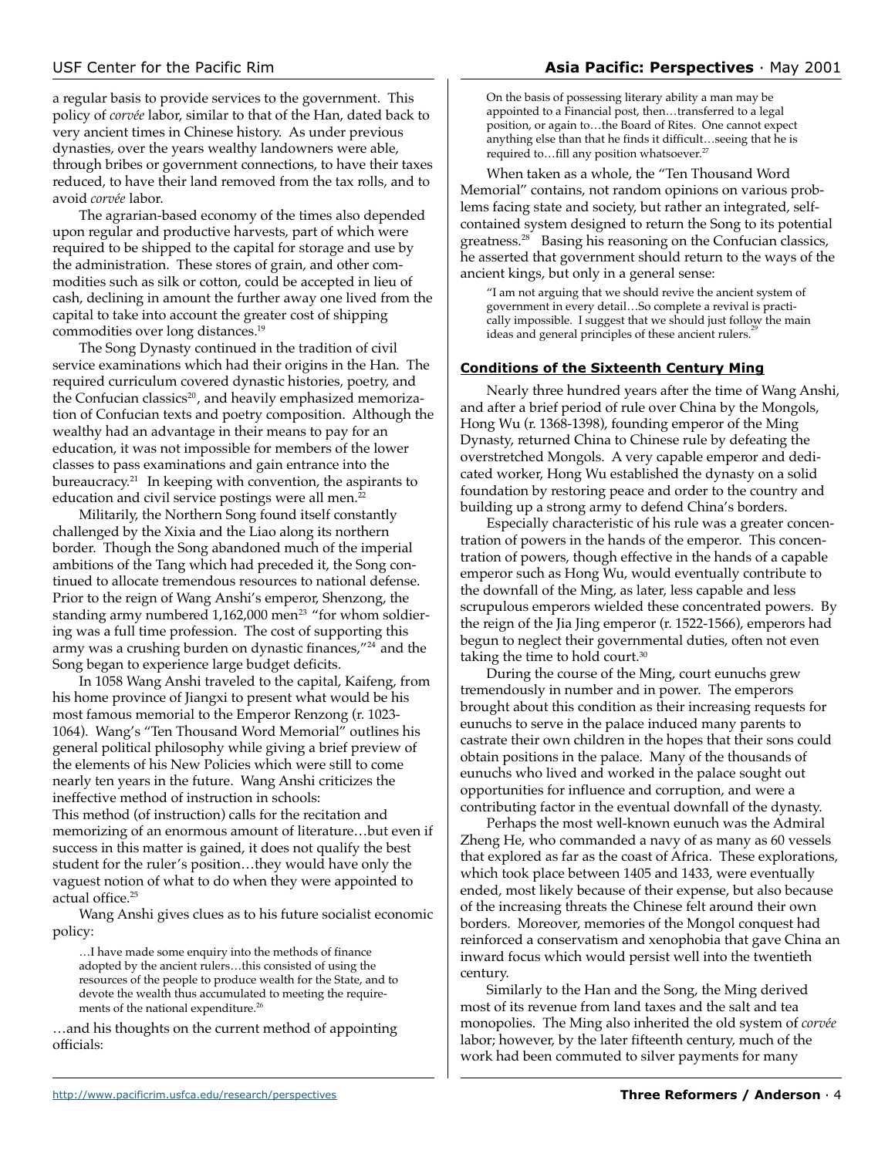a regular basis to provide services to the government. This policy of *corvée* labor, similar to that of the Han, dated back to very ancient times in Chinese history. As under previous dynasties, over the years wealthy landowners were able, through bribes or government connections, to have their taxes reduced, to have their land removed from the tax rolls, and to avoid *corvée* labor.

The agrarian-based economy of the times also depended upon regular and productive harvests, part of which were required to be shipped to the capital for storage and use by the administration. These stores of grain, and other commodities such as silk or cotton, could be accepted in lieu of cash, declining in amount the further away one lived from the capital to take into account the greater cost of shipping commodities over long distances.19

The Song Dynasty continued in the tradition of civil service examinations which had their origins in the Han. The required curriculum covered dynastic histories, poetry, and the Confucian classics<sup>20</sup>, and heavily emphasized memorization of Confucian texts and poetry composition. Although the wealthy had an advantage in their means to pay for an education, it was not impossible for members of the lower classes to pass examinations and gain entrance into the bureaucracy.21 In keeping with convention, the aspirants to education and civil service postings were all men.<sup>22</sup>

Militarily, the Northern Song found itself constantly challenged by the Xixia and the Liao along its northern border. Though the Song abandoned much of the imperial ambitions of the Tang which had preceded it, the Song continued to allocate tremendous resources to national defense. Prior to the reign of Wang Anshi's emperor, Shenzong, the standing army numbered  $1,162,000$  men<sup>23</sup> "for whom soldiering was a full time profession. The cost of supporting this army was a crushing burden on dynastic finances,"<sup>24</sup> and the Song began to experience large budget deficits.

In 1058 Wang Anshi traveled to the capital, Kaifeng, from his home province of Jiangxi to present what would be his most famous memorial to the Emperor Renzong (r. 1023- 1064). Wang's "Ten Thousand Word Memorial" outlines his general political philosophy while giving a brief preview of the elements of his New Policies which were still to come nearly ten years in the future. Wang Anshi criticizes the ineffective method of instruction in schools: This method (of instruction) calls for the recitation and memorizing of an enormous amount of literature…but even if success in this matter is gained, it does not qualify the best student for the ruler's position…they would have only the vaguest notion of what to do when they were appointed to actual office.<sup>25</sup>

Wang Anshi gives clues as to his future socialist economic policy:

…I have made some enquiry into the methods of finance adopted by the ancient rulers…this consisted of using the resources of the people to produce wealth for the State, and to devote the wealth thus accumulated to meeting the requirements of the national expenditure.<sup>26</sup>

…and his thoughts on the current method of appointing officials:

On the basis of possessing literary ability a man may be appointed to a Financial post, then…transferred to a legal position, or again to…the Board of Rites. One cannot expect anything else than that he finds it difficult…seeing that he is required to...fill any position whatsoever.<sup>27</sup>

When taken as a whole, the "Ten Thousand Word Memorial" contains, not random opinions on various problems facing state and society, but rather an integrated, selfcontained system designed to return the Song to its potential greatness.28 Basing his reasoning on the Confucian classics, he asserted that government should return to the ways of the ancient kings, but only in a general sense:

"I am not arguing that we should revive the ancient system of government in every detail…So complete a revival is practically impossible. I suggest that we should just follow the main ideas and general principles of these ancient rulers.<sup>2</sup>

### **Conditions of the Sixteenth Century Ming**

Nearly three hundred years after the time of Wang Anshi, and after a brief period of rule over China by the Mongols, Hong Wu (r. 1368-1398), founding emperor of the Ming Dynasty, returned China to Chinese rule by defeating the overstretched Mongols. A very capable emperor and dedicated worker, Hong Wu established the dynasty on a solid foundation by restoring peace and order to the country and building up a strong army to defend China's borders.

Especially characteristic of his rule was a greater concentration of powers in the hands of the emperor. This concentration of powers, though effective in the hands of a capable emperor such as Hong Wu, would eventually contribute to the downfall of the Ming, as later, less capable and less scrupulous emperors wielded these concentrated powers. By the reign of the Jia Jing emperor (r. 1522-1566), emperors had begun to neglect their governmental duties, often not even taking the time to hold court.<sup>30</sup>

During the course of the Ming, court eunuchs grew tremendously in number and in power. The emperors brought about this condition as their increasing requests for eunuchs to serve in the palace induced many parents to castrate their own children in the hopes that their sons could obtain positions in the palace. Many of the thousands of eunuchs who lived and worked in the palace sought out opportunities for influence and corruption, and were a contributing factor in the eventual downfall of the dynasty.

Perhaps the most well-known eunuch was the Admiral Zheng He, who commanded a navy of as many as 60 vessels that explored as far as the coast of Africa. These explorations, which took place between 1405 and 1433, were eventually ended, most likely because of their expense, but also because of the increasing threats the Chinese felt around their own borders. Moreover, memories of the Mongol conquest had reinforced a conservatism and xenophobia that gave China an inward focus which would persist well into the twentieth century.

Similarly to the Han and the Song, the Ming derived most of its revenue from land taxes and the salt and tea monopolies. The Ming also inherited the old system of *corvée* labor; however, by the later fifteenth century, much of the work had been commuted to silver payments for many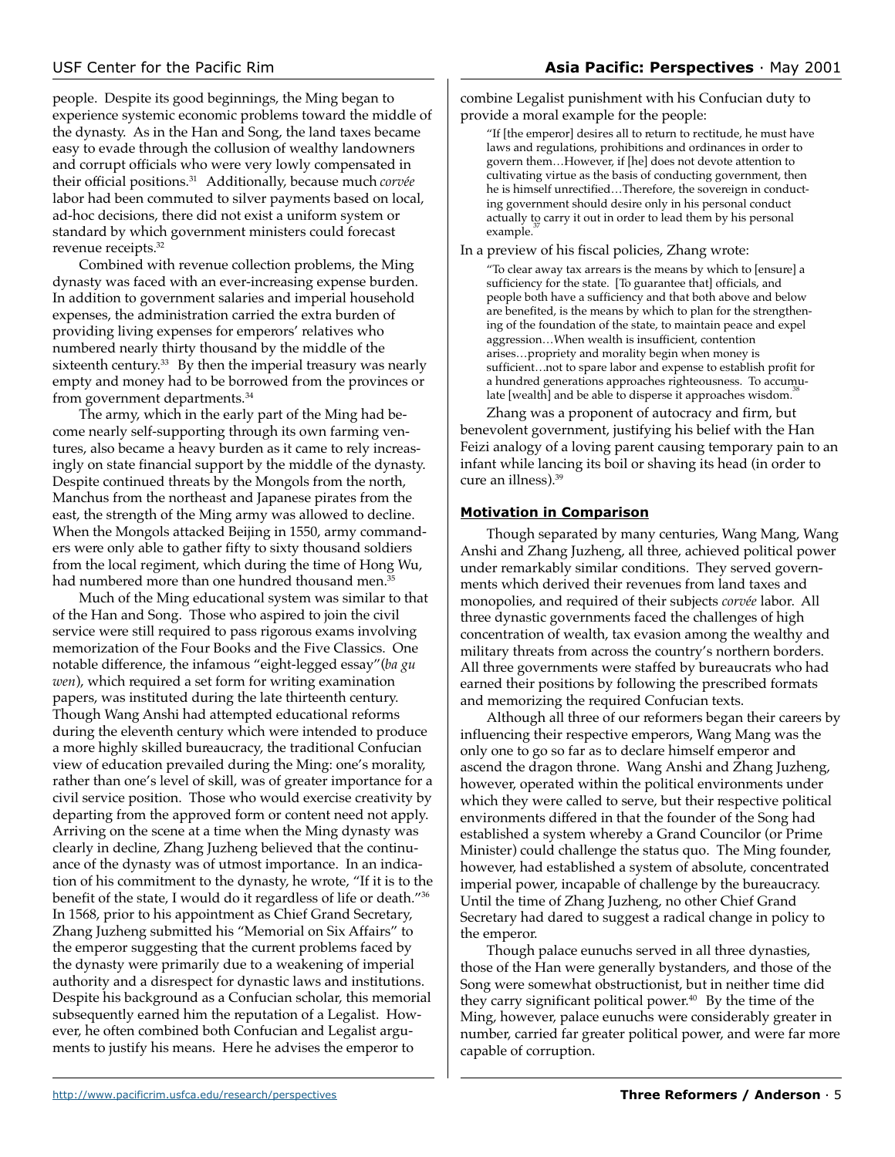people. Despite its good beginnings, the Ming began to experience systemic economic problems toward the middle of the dynasty. As in the Han and Song, the land taxes became easy to evade through the collusion of wealthy landowners and corrupt officials who were very lowly compensated in their official positions.31 Additionally, because much *corvée* labor had been commuted to silver payments based on local, ad-hoc decisions, there did not exist a uniform system or standard by which government ministers could forecast revenue receipts.32

Combined with revenue collection problems, the Ming dynasty was faced with an ever-increasing expense burden. In addition to government salaries and imperial household expenses, the administration carried the extra burden of providing living expenses for emperors' relatives who numbered nearly thirty thousand by the middle of the sixteenth century.<sup>33</sup> By then the imperial treasury was nearly empty and money had to be borrowed from the provinces or from government departments.<sup>34</sup>

The army, which in the early part of the Ming had become nearly self-supporting through its own farming ventures, also became a heavy burden as it came to rely increasingly on state financial support by the middle of the dynasty. Despite continued threats by the Mongols from the north, Manchus from the northeast and Japanese pirates from the east, the strength of the Ming army was allowed to decline. When the Mongols attacked Beijing in 1550, army commanders were only able to gather fifty to sixty thousand soldiers from the local regiment, which during the time of Hong Wu, had numbered more than one hundred thousand men.<sup>35</sup>

Much of the Ming educational system was similar to that of the Han and Song. Those who aspired to join the civil service were still required to pass rigorous exams involving memorization of the Four Books and the Five Classics. One notable difference, the infamous "eight-legged essay"(*ba gu wen*), which required a set form for writing examination papers, was instituted during the late thirteenth century. Though Wang Anshi had attempted educational reforms during the eleventh century which were intended to produce a more highly skilled bureaucracy, the traditional Confucian view of education prevailed during the Ming: one's morality, rather than one's level of skill, was of greater importance for a civil service position. Those who would exercise creativity by departing from the approved form or content need not apply. Arriving on the scene at a time when the Ming dynasty was clearly in decline, Zhang Juzheng believed that the continuance of the dynasty was of utmost importance. In an indication of his commitment to the dynasty, he wrote, "If it is to the benefit of the state, I would do it regardless of life or death."36 In 1568, prior to his appointment as Chief Grand Secretary, Zhang Juzheng submitted his "Memorial on Six Affairs" to the emperor suggesting that the current problems faced by the dynasty were primarily due to a weakening of imperial authority and a disrespect for dynastic laws and institutions. Despite his background as a Confucian scholar, this memorial subsequently earned him the reputation of a Legalist. However, he often combined both Confucian and Legalist arguments to justify his means. Here he advises the emperor to

combine Legalist punishment with his Confucian duty to provide a moral example for the people:

"If [the emperor] desires all to return to rectitude, he must have laws and regulations, prohibitions and ordinances in order to govern them…However, if [he] does not devote attention to cultivating virtue as the basis of conducting government, then he is himself unrectified…Therefore, the sovereign in conducting government should desire only in his personal conduct actually to carry it out in order to lead them by his personal example.

In a preview of his fiscal policies, Zhang wrote:

"To clear away tax arrears is the means by which to [ensure] a sufficiency for the state. [To guarantee that] officials, and people both have a sufficiency and that both above and below are benefited, is the means by which to plan for the strengthening of the foundation of the state, to maintain peace and expel aggression…When wealth is insufficient, contention arises…propriety and morality begin when money is sufficient…not to spare labor and expense to establish profit for a hundred generations approaches righteousness. To accumulate [wealth] and be able to disperse it approaches wisdom.<sup>3</sup>

Zhang was a proponent of autocracy and firm, but benevolent government, justifying his belief with the Han Feizi analogy of a loving parent causing temporary pain to an infant while lancing its boil or shaving its head (in order to cure an illness).39

### **Motivation in Comparison**

Though separated by many centuries, Wang Mang, Wang Anshi and Zhang Juzheng, all three, achieved political power under remarkably similar conditions. They served governments which derived their revenues from land taxes and monopolies, and required of their subjects *corvée* labor. All three dynastic governments faced the challenges of high concentration of wealth, tax evasion among the wealthy and military threats from across the country's northern borders. All three governments were staffed by bureaucrats who had earned their positions by following the prescribed formats and memorizing the required Confucian texts.

Although all three of our reformers began their careers by influencing their respective emperors, Wang Mang was the only one to go so far as to declare himself emperor and ascend the dragon throne. Wang Anshi and Zhang Juzheng, however, operated within the political environments under which they were called to serve, but their respective political environments differed in that the founder of the Song had established a system whereby a Grand Councilor (or Prime Minister) could challenge the status quo. The Ming founder, however, had established a system of absolute, concentrated imperial power, incapable of challenge by the bureaucracy. Until the time of Zhang Juzheng, no other Chief Grand Secretary had dared to suggest a radical change in policy to the emperor.

Though palace eunuchs served in all three dynasties, those of the Han were generally bystanders, and those of the Song were somewhat obstructionist, but in neither time did they carry significant political power.<sup>40</sup> By the time of the Ming, however, palace eunuchs were considerably greater in number, carried far greater political power, and were far more capable of corruption.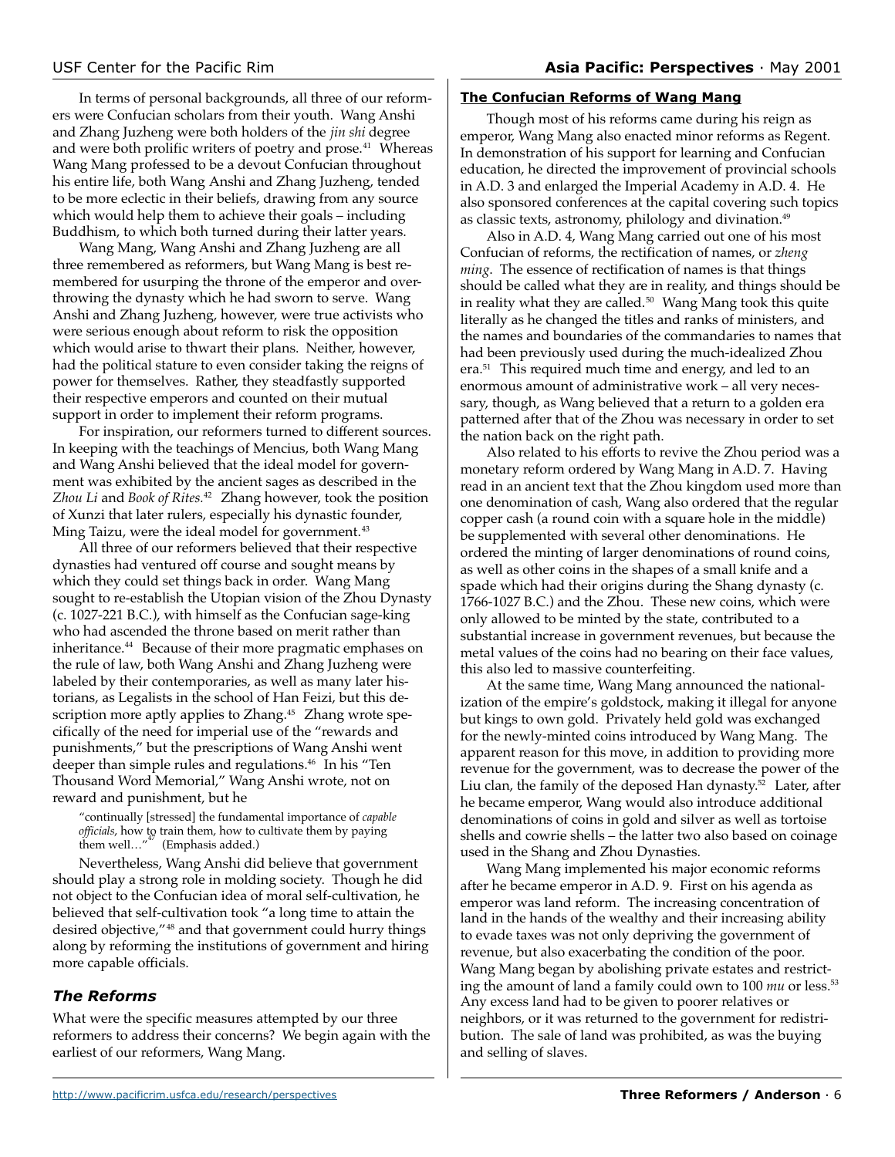In terms of personal backgrounds, all three of our reformers were Confucian scholars from their youth. Wang Anshi and Zhang Juzheng were both holders of the *jin shi* degree and were both prolific writers of poetry and prose.<sup>41</sup> Whereas Wang Mang professed to be a devout Confucian throughout his entire life, both Wang Anshi and Zhang Juzheng, tended to be more eclectic in their beliefs, drawing from any source which would help them to achieve their goals – including Buddhism, to which both turned during their latter years.

Wang Mang, Wang Anshi and Zhang Juzheng are all three remembered as reformers, but Wang Mang is best remembered for usurping the throne of the emperor and overthrowing the dynasty which he had sworn to serve. Wang Anshi and Zhang Juzheng, however, were true activists who were serious enough about reform to risk the opposition which would arise to thwart their plans. Neither, however, had the political stature to even consider taking the reigns of power for themselves. Rather, they steadfastly supported their respective emperors and counted on their mutual support in order to implement their reform programs.

For inspiration, our reformers turned to different sources. In keeping with the teachings of Mencius, both Wang Mang and Wang Anshi believed that the ideal model for government was exhibited by the ancient sages as described in the *Zhou Li* and *Book of Rites.*42 Zhang however, took the position of Xunzi that later rulers, especially his dynastic founder, Ming Taizu, were the ideal model for government.<sup>43</sup>

All three of our reformers believed that their respective dynasties had ventured off course and sought means by which they could set things back in order. Wang Mang sought to re-establish the Utopian vision of the Zhou Dynasty (c. 1027-221 B.C.), with himself as the Confucian sage-king who had ascended the throne based on merit rather than inheritance.44 Because of their more pragmatic emphases on the rule of law, both Wang Anshi and Zhang Juzheng were labeled by their contemporaries, as well as many later historians, as Legalists in the school of Han Feizi, but this description more aptly applies to Zhang.<sup>45</sup> Zhang wrote specifically of the need for imperial use of the "rewards and punishments," but the prescriptions of Wang Anshi went deeper than simple rules and regulations.<sup>46</sup> In his "Ten Thousand Word Memorial," Wang Anshi wrote, not on reward and punishment, but he

"continually [stressed] the fundamental importance of *capable officials*, how to train them, how to cultivate them by paying them well..." $*$  (Emphasis added.)

Nevertheless, Wang Anshi did believe that government should play a strong role in molding society. Though he did not object to the Confucian idea of moral self-cultivation, he believed that self-cultivation took "a long time to attain the desired objective,"48 and that government could hurry things along by reforming the institutions of government and hiring more capable officials.

# *The Reforms*

What were the specific measures attempted by our three reformers to address their concerns? We begin again with the earliest of our reformers, Wang Mang.

### **The Confucian Reforms of Wang Mang**

Though most of his reforms came during his reign as emperor, Wang Mang also enacted minor reforms as Regent. In demonstration of his support for learning and Confucian education, he directed the improvement of provincial schools in A.D. 3 and enlarged the Imperial Academy in A.D. 4. He also sponsored conferences at the capital covering such topics as classic texts, astronomy, philology and divination.<sup>49</sup>

Also in A.D. 4, Wang Mang carried out one of his most Confucian of reforms, the rectification of names, or *zheng ming*. The essence of rectification of names is that things should be called what they are in reality, and things should be in reality what they are called. $50$  Wang Mang took this quite literally as he changed the titles and ranks of ministers, and the names and boundaries of the commandaries to names that had been previously used during the much-idealized Zhou era.51 This required much time and energy, and led to an enormous amount of administrative work – all very necessary, though, as Wang believed that a return to a golden era patterned after that of the Zhou was necessary in order to set the nation back on the right path.

Also related to his efforts to revive the Zhou period was a monetary reform ordered by Wang Mang in A.D. 7. Having read in an ancient text that the Zhou kingdom used more than one denomination of cash, Wang also ordered that the regular copper cash (a round coin with a square hole in the middle) be supplemented with several other denominations. He ordered the minting of larger denominations of round coins, as well as other coins in the shapes of a small knife and a spade which had their origins during the Shang dynasty (c. 1766-1027 B.C.) and the Zhou. These new coins, which were only allowed to be minted by the state, contributed to a substantial increase in government revenues, but because the metal values of the coins had no bearing on their face values, this also led to massive counterfeiting.

At the same time, Wang Mang announced the nationalization of the empire's goldstock, making it illegal for anyone but kings to own gold. Privately held gold was exchanged for the newly-minted coins introduced by Wang Mang. The apparent reason for this move, in addition to providing more revenue for the government, was to decrease the power of the Liu clan, the family of the deposed Han dynasty.<sup>52</sup> Later, after he became emperor, Wang would also introduce additional denominations of coins in gold and silver as well as tortoise shells and cowrie shells – the latter two also based on coinage used in the Shang and Zhou Dynasties.

Wang Mang implemented his major economic reforms after he became emperor in A.D. 9. First on his agenda as emperor was land reform. The increasing concentration of land in the hands of the wealthy and their increasing ability to evade taxes was not only depriving the government of revenue, but also exacerbating the condition of the poor. Wang Mang began by abolishing private estates and restricting the amount of land a family could own to 100 *mu* or less.<sup>53</sup> Any excess land had to be given to poorer relatives or neighbors, or it was returned to the government for redistribution. The sale of land was prohibited, as was the buying and selling of slaves.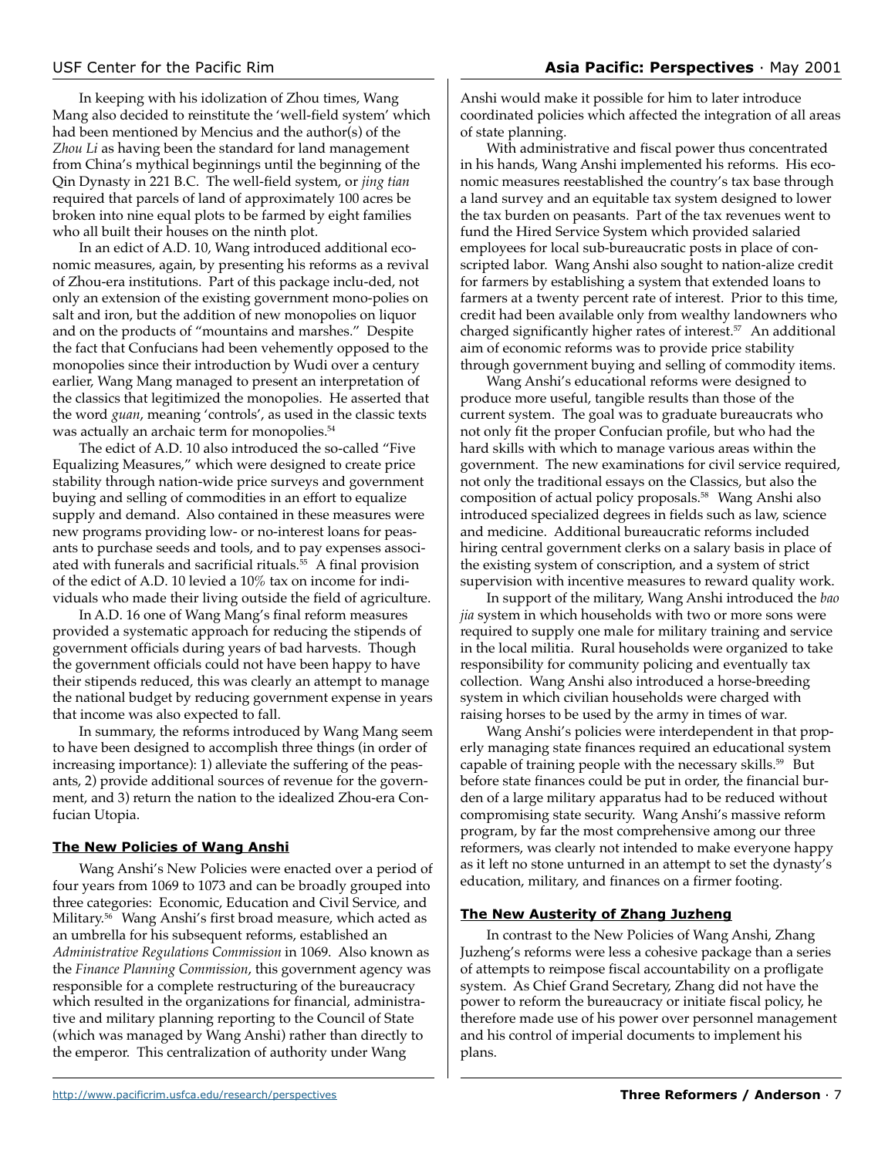In keeping with his idolization of Zhou times, Wang Mang also decided to reinstitute the 'well-field system' which had been mentioned by Mencius and the author(s) of the *Zhou Li* as having been the standard for land management from China's mythical beginnings until the beginning of the Qin Dynasty in 221 B.C. The well-field system, or *jing tian* required that parcels of land of approximately 100 acres be broken into nine equal plots to be farmed by eight families who all built their houses on the ninth plot.

In an edict of A.D. 10, Wang introduced additional economic measures, again, by presenting his reforms as a revival of Zhou-era institutions. Part of this package inclu-ded, not only an extension of the existing government mono-polies on salt and iron, but the addition of new monopolies on liquor and on the products of "mountains and marshes." Despite the fact that Confucians had been vehemently opposed to the monopolies since their introduction by Wudi over a century earlier, Wang Mang managed to present an interpretation of the classics that legitimized the monopolies. He asserted that the word *guan*, meaning 'controls', as used in the classic texts was actually an archaic term for monopolies.<sup>54</sup>

The edict of A.D. 10 also introduced the so-called "Five Equalizing Measures," which were designed to create price stability through nation-wide price surveys and government buying and selling of commodities in an effort to equalize supply and demand. Also contained in these measures were new programs providing low- or no-interest loans for peasants to purchase seeds and tools, and to pay expenses associated with funerals and sacrificial rituals.55 A final provision of the edict of A.D. 10 levied a 10% tax on income for individuals who made their living outside the field of agriculture.

In A.D. 16 one of Wang Mang's final reform measures provided a systematic approach for reducing the stipends of government officials during years of bad harvests. Though the government officials could not have been happy to have their stipends reduced, this was clearly an attempt to manage the national budget by reducing government expense in years that income was also expected to fall.

In summary, the reforms introduced by Wang Mang seem to have been designed to accomplish three things (in order of increasing importance): 1) alleviate the suffering of the peasants, 2) provide additional sources of revenue for the government, and 3) return the nation to the idealized Zhou-era Confucian Utopia.

### **The New Policies of Wang Anshi**

Wang Anshi's New Policies were enacted over a period of four years from 1069 to 1073 and can be broadly grouped into three categories: Economic, Education and Civil Service, and Military.56 Wang Anshi's first broad measure, which acted as an umbrella for his subsequent reforms, established an *Administrative Regulations Commission* in 1069. Also known as the *Finance Planning Commission*, this government agency was responsible for a complete restructuring of the bureaucracy which resulted in the organizations for financial, administrative and military planning reporting to the Council of State (which was managed by Wang Anshi) rather than directly to the emperor. This centralization of authority under Wang

Anshi would make it possible for him to later introduce coordinated policies which affected the integration of all areas of state planning.

With administrative and fiscal power thus concentrated in his hands, Wang Anshi implemented his reforms. His economic measures reestablished the country's tax base through a land survey and an equitable tax system designed to lower the tax burden on peasants. Part of the tax revenues went to fund the Hired Service System which provided salaried employees for local sub-bureaucratic posts in place of conscripted labor. Wang Anshi also sought to nation-alize credit for farmers by establishing a system that extended loans to farmers at a twenty percent rate of interest. Prior to this time, credit had been available only from wealthy landowners who charged significantly higher rates of interest.<sup>57</sup> An additional aim of economic reforms was to provide price stability through government buying and selling of commodity items.

Wang Anshi's educational reforms were designed to produce more useful, tangible results than those of the current system. The goal was to graduate bureaucrats who not only fit the proper Confucian profile, but who had the hard skills with which to manage various areas within the government. The new examinations for civil service required, not only the traditional essays on the Classics, but also the composition of actual policy proposals.58 Wang Anshi also introduced specialized degrees in fields such as law, science and medicine. Additional bureaucratic reforms included hiring central government clerks on a salary basis in place of the existing system of conscription, and a system of strict supervision with incentive measures to reward quality work.

In support of the military, Wang Anshi introduced the *bao jia* system in which households with two or more sons were required to supply one male for military training and service in the local militia. Rural households were organized to take responsibility for community policing and eventually tax collection. Wang Anshi also introduced a horse-breeding system in which civilian households were charged with raising horses to be used by the army in times of war.

Wang Anshi's policies were interdependent in that properly managing state finances required an educational system capable of training people with the necessary skills.<sup>59</sup> But before state finances could be put in order, the financial burden of a large military apparatus had to be reduced without compromising state security. Wang Anshi's massive reform program, by far the most comprehensive among our three reformers, was clearly not intended to make everyone happy as it left no stone unturned in an attempt to set the dynasty's education, military, and finances on a firmer footing.

# **The New Austerity of Zhang Juzheng**

In contrast to the New Policies of Wang Anshi, Zhang Juzheng's reforms were less a cohesive package than a series of attempts to reimpose fiscal accountability on a profligate system. As Chief Grand Secretary, Zhang did not have the power to reform the bureaucracy or initiate fiscal policy, he therefore made use of his power over personnel management and his control of imperial documents to implement his plans.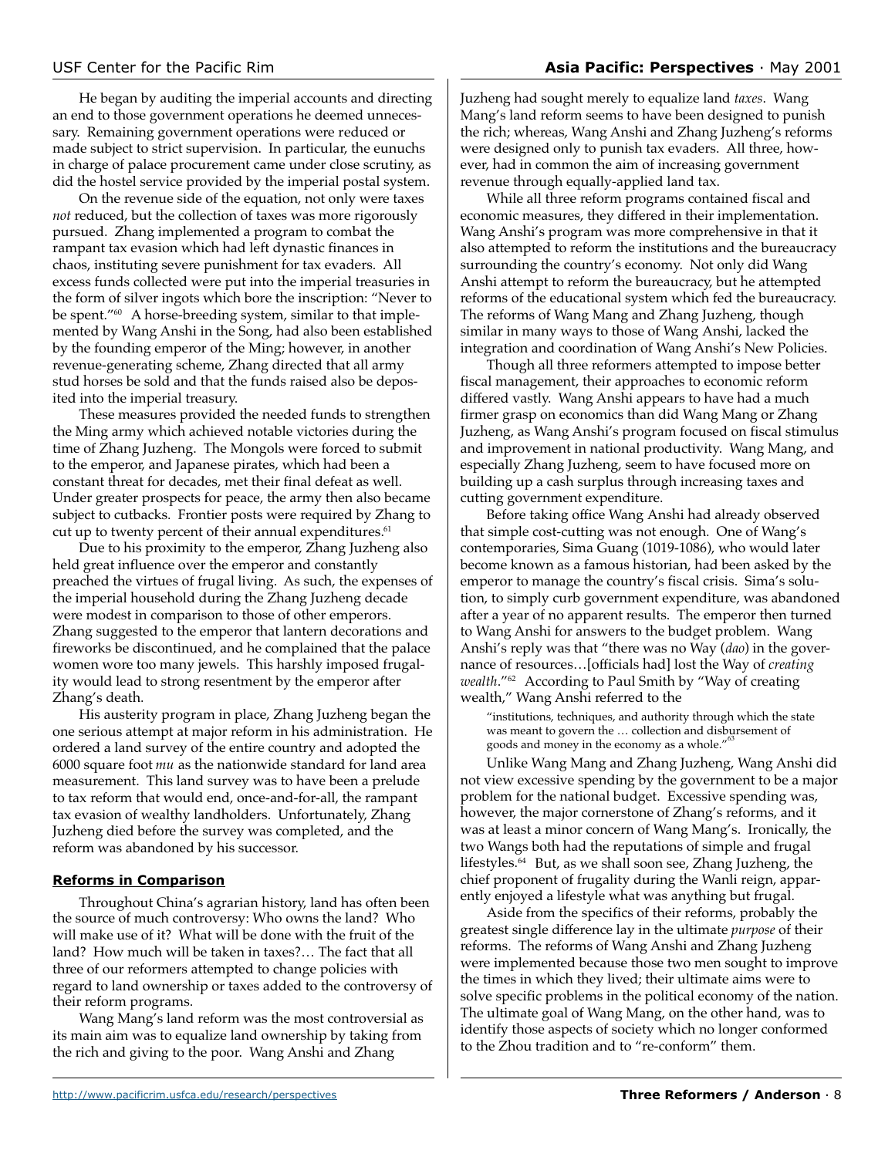He began by auditing the imperial accounts and directing an end to those government operations he deemed unnecessary. Remaining government operations were reduced or made subject to strict supervision. In particular, the eunuchs in charge of palace procurement came under close scrutiny, as did the hostel service provided by the imperial postal system.

On the revenue side of the equation, not only were taxes *not* reduced, but the collection of taxes was more rigorously pursued. Zhang implemented a program to combat the rampant tax evasion which had left dynastic finances in chaos, instituting severe punishment for tax evaders. All excess funds collected were put into the imperial treasuries in the form of silver ingots which bore the inscription: "Never to be spent."60 A horse-breeding system, similar to that implemented by Wang Anshi in the Song, had also been established by the founding emperor of the Ming; however, in another revenue-generating scheme, Zhang directed that all army stud horses be sold and that the funds raised also be deposited into the imperial treasury.

These measures provided the needed funds to strengthen the Ming army which achieved notable victories during the time of Zhang Juzheng. The Mongols were forced to submit to the emperor, and Japanese pirates, which had been a constant threat for decades, met their final defeat as well. Under greater prospects for peace, the army then also became subject to cutbacks. Frontier posts were required by Zhang to cut up to twenty percent of their annual expenditures.<sup>61</sup>

Due to his proximity to the emperor, Zhang Juzheng also held great influence over the emperor and constantly preached the virtues of frugal living. As such, the expenses of the imperial household during the Zhang Juzheng decade were modest in comparison to those of other emperors. Zhang suggested to the emperor that lantern decorations and fireworks be discontinued, and he complained that the palace women wore too many jewels. This harshly imposed frugality would lead to strong resentment by the emperor after Zhang's death.

His austerity program in place, Zhang Juzheng began the one serious attempt at major reform in his administration. He ordered a land survey of the entire country and adopted the 6000 square foot *mu* as the nationwide standard for land area measurement. This land survey was to have been a prelude to tax reform that would end, once-and-for-all, the rampant tax evasion of wealthy landholders. Unfortunately, Zhang Juzheng died before the survey was completed, and the reform was abandoned by his successor.

### **Reforms in Comparison**

Throughout China's agrarian history, land has often been the source of much controversy: Who owns the land? Who will make use of it? What will be done with the fruit of the land? How much will be taken in taxes?… The fact that all three of our reformers attempted to change policies with regard to land ownership or taxes added to the controversy of their reform programs.

Wang Mang's land reform was the most controversial as its main aim was to equalize land ownership by taking from the rich and giving to the poor. Wang Anshi and Zhang

Juzheng had sought merely to equalize land *taxes*. Wang Mang's land reform seems to have been designed to punish the rich; whereas, Wang Anshi and Zhang Juzheng's reforms were designed only to punish tax evaders. All three, however, had in common the aim of increasing government revenue through equally-applied land tax.

While all three reform programs contained fiscal and economic measures, they differed in their implementation. Wang Anshi's program was more comprehensive in that it also attempted to reform the institutions and the bureaucracy surrounding the country's economy. Not only did Wang Anshi attempt to reform the bureaucracy, but he attempted reforms of the educational system which fed the bureaucracy. The reforms of Wang Mang and Zhang Juzheng, though similar in many ways to those of Wang Anshi, lacked the integration and coordination of Wang Anshi's New Policies.

Though all three reformers attempted to impose better fiscal management, their approaches to economic reform differed vastly. Wang Anshi appears to have had a much firmer grasp on economics than did Wang Mang or Zhang Juzheng, as Wang Anshi's program focused on fiscal stimulus and improvement in national productivity. Wang Mang, and especially Zhang Juzheng, seem to have focused more on building up a cash surplus through increasing taxes and cutting government expenditure.

Before taking office Wang Anshi had already observed that simple cost-cutting was not enough. One of Wang's contemporaries, Sima Guang (1019-1086), who would later become known as a famous historian, had been asked by the emperor to manage the country's fiscal crisis. Sima's solution, to simply curb government expenditure, was abandoned after a year of no apparent results. The emperor then turned to Wang Anshi for answers to the budget problem. Wang Anshi's reply was that "there was no Way (*dao*) in the governance of resources…[officials had] lost the Way of *creating wealth*."62 According to Paul Smith by "Way of creating wealth," Wang Anshi referred to the

"institutions, techniques, and authority through which the state was meant to govern the … collection and disbursement of goods and money in the economy as a whole."

Unlike Wang Mang and Zhang Juzheng, Wang Anshi did not view excessive spending by the government to be a major problem for the national budget. Excessive spending was, however, the major cornerstone of Zhang's reforms, and it was at least a minor concern of Wang Mang's. Ironically, the two Wangs both had the reputations of simple and frugal lifestyles.64 But, as we shall soon see, Zhang Juzheng, the chief proponent of frugality during the Wanli reign, apparently enjoyed a lifestyle what was anything but frugal.

Aside from the specifics of their reforms, probably the greatest single difference lay in the ultimate *purpose* of their reforms. The reforms of Wang Anshi and Zhang Juzheng were implemented because those two men sought to improve the times in which they lived; their ultimate aims were to solve specific problems in the political economy of the nation. The ultimate goal of Wang Mang, on the other hand, was to identify those aspects of society which no longer conformed to the Zhou tradition and to "re-conform" them.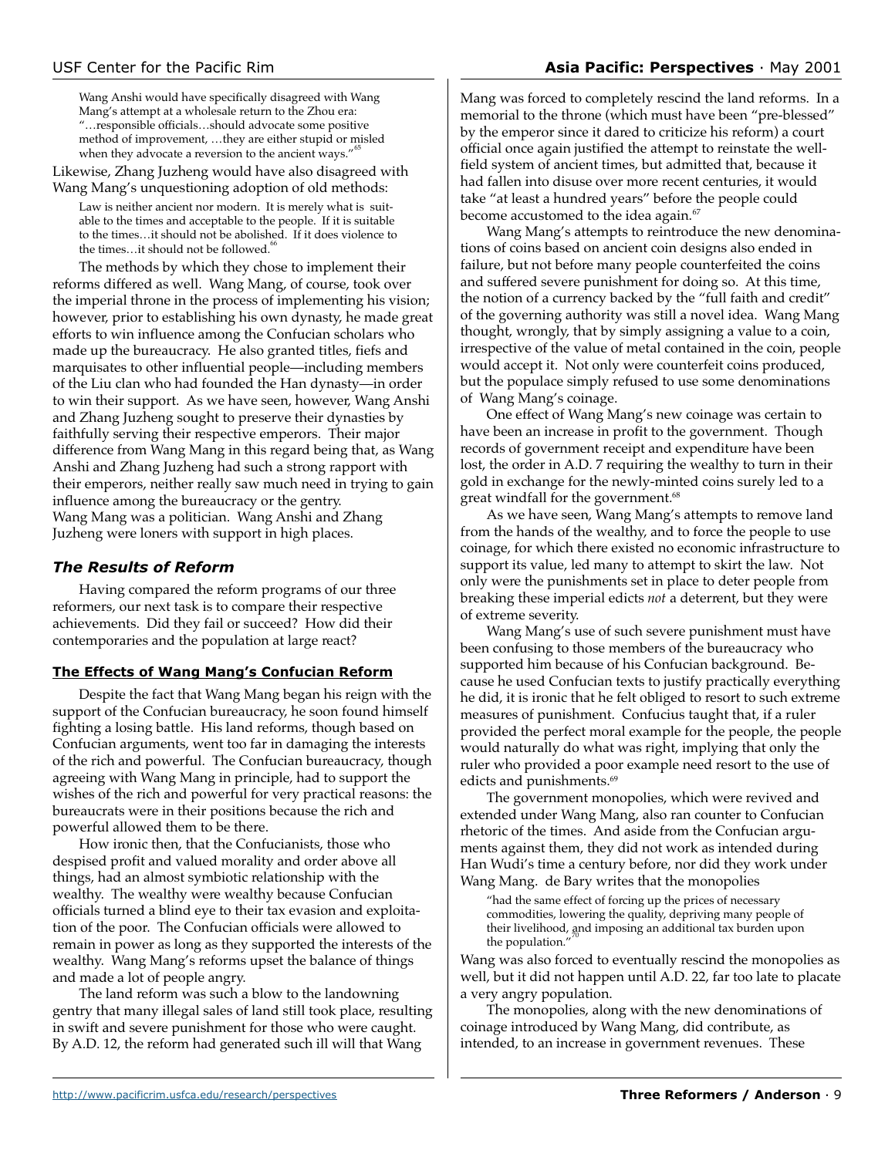# USF Center for the Pacific Rim **Asia Pacific: Perspectives** · May 2001

Wang Anshi would have specifically disagreed with Wang Mang's attempt at a wholesale return to the Zhou era: "…responsible officials…should advocate some positive method of improvement, …they are either stupid or misled when they advocate a reversion to the ancient ways."

Likewise, Zhang Juzheng would have also disagreed with Wang Mang's unquestioning adoption of old methods:

Law is neither ancient nor modern. It is merely what is suitable to the times and acceptable to the people. If it is suitable to the times…it should not be abolished. If it does violence to the times...it should not be followed.<sup>6</sup>

The methods by which they chose to implement their reforms differed as well. Wang Mang, of course, took over the imperial throne in the process of implementing his vision; however, prior to establishing his own dynasty, he made great efforts to win influence among the Confucian scholars who made up the bureaucracy. He also granted titles, fiefs and marquisates to other influential people—including members of the Liu clan who had founded the Han dynasty—in order to win their support. As we have seen, however, Wang Anshi and Zhang Juzheng sought to preserve their dynasties by faithfully serving their respective emperors. Their major difference from Wang Mang in this regard being that, as Wang Anshi and Zhang Juzheng had such a strong rapport with their emperors, neither really saw much need in trying to gain influence among the bureaucracy or the gentry. Wang Mang was a politician. Wang Anshi and Zhang Juzheng were loners with support in high places.

# *The Results of Reform*

Having compared the reform programs of our three reformers, our next task is to compare their respective achievements. Did they fail or succeed? How did their contemporaries and the population at large react?

# **The Effects of Wang Mang's Confucian Reform**

Despite the fact that Wang Mang began his reign with the support of the Confucian bureaucracy, he soon found himself fighting a losing battle. His land reforms, though based on Confucian arguments, went too far in damaging the interests of the rich and powerful. The Confucian bureaucracy, though agreeing with Wang Mang in principle, had to support the wishes of the rich and powerful for very practical reasons: the bureaucrats were in their positions because the rich and powerful allowed them to be there.

How ironic then, that the Confucianists, those who despised profit and valued morality and order above all things, had an almost symbiotic relationship with the wealthy. The wealthy were wealthy because Confucian officials turned a blind eye to their tax evasion and exploitation of the poor. The Confucian officials were allowed to remain in power as long as they supported the interests of the wealthy. Wang Mang's reforms upset the balance of things and made a lot of people angry.

The land reform was such a blow to the landowning gentry that many illegal sales of land still took place, resulting in swift and severe punishment for those who were caught. By A.D. 12, the reform had generated such ill will that Wang

Mang was forced to completely rescind the land reforms. In a memorial to the throne (which must have been "pre-blessed" by the emperor since it dared to criticize his reform) a court official once again justified the attempt to reinstate the wellfield system of ancient times, but admitted that, because it had fallen into disuse over more recent centuries, it would take "at least a hundred years" before the people could become accustomed to the idea again.<sup>67</sup>

Wang Mang's attempts to reintroduce the new denominations of coins based on ancient coin designs also ended in failure, but not before many people counterfeited the coins and suffered severe punishment for doing so. At this time, the notion of a currency backed by the "full faith and credit" of the governing authority was still a novel idea. Wang Mang thought, wrongly, that by simply assigning a value to a coin, irrespective of the value of metal contained in the coin, people would accept it. Not only were counterfeit coins produced, but the populace simply refused to use some denominations of Wang Mang's coinage.

One effect of Wang Mang's new coinage was certain to have been an increase in profit to the government. Though records of government receipt and expenditure have been lost, the order in A.D. 7 requiring the wealthy to turn in their gold in exchange for the newly-minted coins surely led to a great windfall for the government.<sup>68</sup>

As we have seen, Wang Mang's attempts to remove land from the hands of the wealthy, and to force the people to use coinage, for which there existed no economic infrastructure to support its value, led many to attempt to skirt the law. Not only were the punishments set in place to deter people from breaking these imperial edicts *not* a deterrent, but they were of extreme severity.

Wang Mang's use of such severe punishment must have been confusing to those members of the bureaucracy who supported him because of his Confucian background. Because he used Confucian texts to justify practically everything he did, it is ironic that he felt obliged to resort to such extreme measures of punishment. Confucius taught that, if a ruler provided the perfect moral example for the people, the people would naturally do what was right, implying that only the ruler who provided a poor example need resort to the use of edicts and punishments.<sup>69</sup>

The government monopolies, which were revived and extended under Wang Mang, also ran counter to Confucian rhetoric of the times. And aside from the Confucian arguments against them, they did not work as intended during Han Wudi's time a century before, nor did they work under Wang Mang. de Bary writes that the monopolies

"had the same effect of forcing up the prices of necessary commodities, lowering the quality, depriving many people of their livelihood, and imposing an additional tax burden upon the population."

Wang was also forced to eventually rescind the monopolies as well, but it did not happen until A.D. 22, far too late to placate a very angry population.

The monopolies, along with the new denominations of coinage introduced by Wang Mang, did contribute, as intended, to an increase in government revenues. These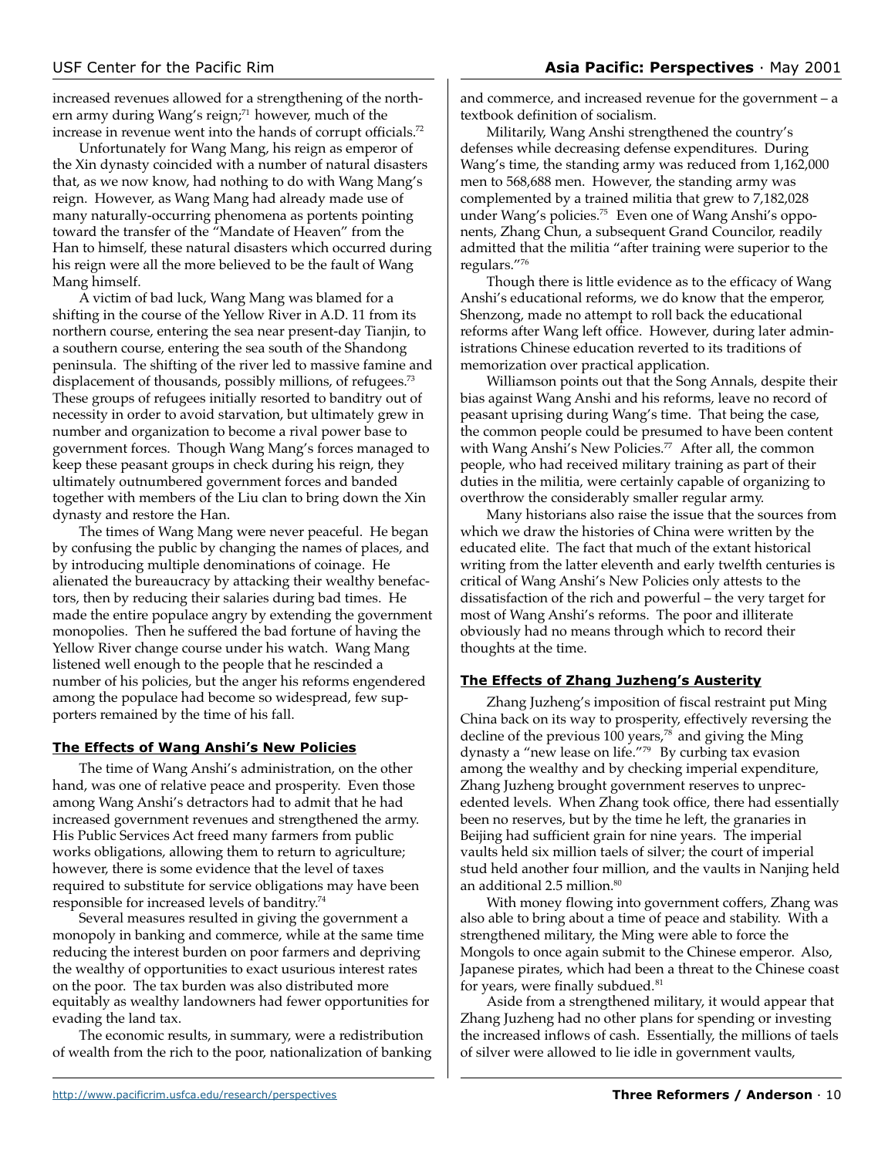increased revenues allowed for a strengthening of the northern army during Wang's reign;<sup>71</sup> however, much of the increase in revenue went into the hands of corrupt officials.<sup>72</sup>

Unfortunately for Wang Mang, his reign as emperor of the Xin dynasty coincided with a number of natural disasters that, as we now know, had nothing to do with Wang Mang's reign. However, as Wang Mang had already made use of many naturally-occurring phenomena as portents pointing toward the transfer of the "Mandate of Heaven" from the Han to himself, these natural disasters which occurred during his reign were all the more believed to be the fault of Wang Mang himself.

A victim of bad luck, Wang Mang was blamed for a shifting in the course of the Yellow River in A.D. 11 from its northern course, entering the sea near present-day Tianjin, to a southern course, entering the sea south of the Shandong peninsula. The shifting of the river led to massive famine and displacement of thousands, possibly millions, of refugees.<sup>73</sup> These groups of refugees initially resorted to banditry out of necessity in order to avoid starvation, but ultimately grew in number and organization to become a rival power base to government forces. Though Wang Mang's forces managed to keep these peasant groups in check during his reign, they ultimately outnumbered government forces and banded together with members of the Liu clan to bring down the Xin dynasty and restore the Han.

The times of Wang Mang were never peaceful. He began by confusing the public by changing the names of places, and by introducing multiple denominations of coinage. He alienated the bureaucracy by attacking their wealthy benefactors, then by reducing their salaries during bad times. He made the entire populace angry by extending the government monopolies. Then he suffered the bad fortune of having the Yellow River change course under his watch. Wang Mang listened well enough to the people that he rescinded a number of his policies, but the anger his reforms engendered among the populace had become so widespread, few supporters remained by the time of his fall.

# **The Effects of Wang Anshi's New Policies**

The time of Wang Anshi's administration, on the other hand, was one of relative peace and prosperity. Even those among Wang Anshi's detractors had to admit that he had increased government revenues and strengthened the army. His Public Services Act freed many farmers from public works obligations, allowing them to return to agriculture; however, there is some evidence that the level of taxes required to substitute for service obligations may have been responsible for increased levels of banditry.74

Several measures resulted in giving the government a monopoly in banking and commerce, while at the same time reducing the interest burden on poor farmers and depriving the wealthy of opportunities to exact usurious interest rates on the poor. The tax burden was also distributed more equitably as wealthy landowners had fewer opportunities for evading the land tax.

The economic results, in summary, were a redistribution of wealth from the rich to the poor, nationalization of banking and commerce, and increased revenue for the government – a textbook definition of socialism.

Militarily, Wang Anshi strengthened the country's defenses while decreasing defense expenditures. During Wang's time, the standing army was reduced from 1,162,000 men to 568,688 men. However, the standing army was complemented by a trained militia that grew to 7,182,028 under Wang's policies.<sup>75</sup> Even one of Wang Anshi's opponents, Zhang Chun, a subsequent Grand Councilor, readily admitted that the militia "after training were superior to the regulars."76

Though there is little evidence as to the efficacy of Wang Anshi's educational reforms, we do know that the emperor, Shenzong, made no attempt to roll back the educational reforms after Wang left office. However, during later administrations Chinese education reverted to its traditions of memorization over practical application.

Williamson points out that the Song Annals, despite their bias against Wang Anshi and his reforms, leave no record of peasant uprising during Wang's time. That being the case, the common people could be presumed to have been content with Wang Anshi's New Policies.<sup>77</sup> After all, the common people, who had received military training as part of their duties in the militia, were certainly capable of organizing to overthrow the considerably smaller regular army.

Many historians also raise the issue that the sources from which we draw the histories of China were written by the educated elite. The fact that much of the extant historical writing from the latter eleventh and early twelfth centuries is critical of Wang Anshi's New Policies only attests to the dissatisfaction of the rich and powerful – the very target for most of Wang Anshi's reforms. The poor and illiterate obviously had no means through which to record their thoughts at the time.

# **The Effects of Zhang Juzheng's Austerity**

Zhang Juzheng's imposition of fiscal restraint put Ming China back on its way to prosperity, effectively reversing the decline of the previous 100 years, $78$  and giving the Ming dynasty a "new lease on life."79 By curbing tax evasion among the wealthy and by checking imperial expenditure, Zhang Juzheng brought government reserves to unprecedented levels. When Zhang took office, there had essentially been no reserves, but by the time he left, the granaries in Beijing had sufficient grain for nine years. The imperial vaults held six million taels of silver; the court of imperial stud held another four million, and the vaults in Nanjing held an additional 2.5 million.<sup>80</sup>

With money flowing into government coffers, Zhang was also able to bring about a time of peace and stability. With a strengthened military, the Ming were able to force the Mongols to once again submit to the Chinese emperor. Also, Japanese pirates, which had been a threat to the Chinese coast for years, were finally subdued.<sup>81</sup>

Aside from a strengthened military, it would appear that Zhang Juzheng had no other plans for spending or investing the increased inflows of cash. Essentially, the millions of taels of silver were allowed to lie idle in government vaults,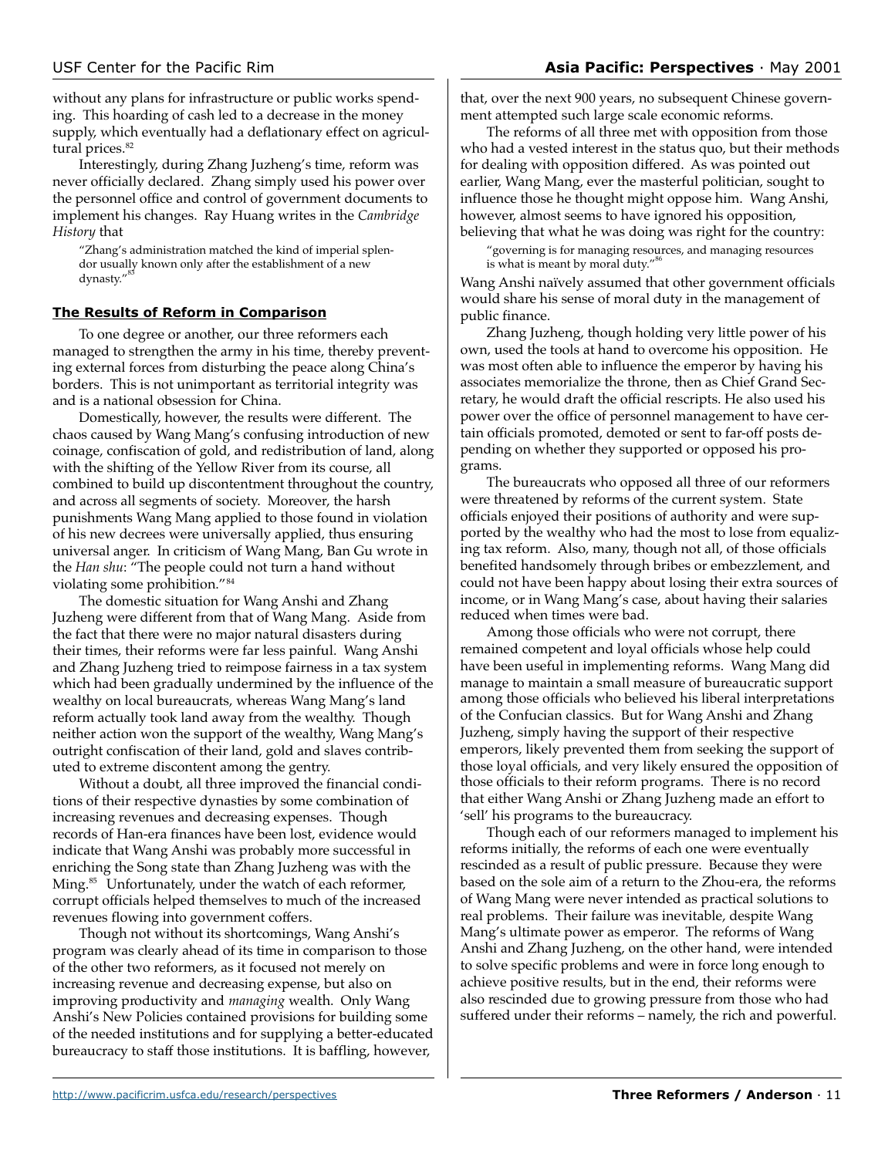without any plans for infrastructure or public works spending. This hoarding of cash led to a decrease in the money supply, which eventually had a deflationary effect on agricultural prices.<sup>82</sup>

Interestingly, during Zhang Juzheng's time, reform was never officially declared. Zhang simply used his power over the personnel office and control of government documents to implement his changes. Ray Huang writes in the *Cambridge History* that

"Zhang's administration matched the kind of imperial splendor usually known only after the establishment of a new dynasty."

### **The Results of Reform in Comparison**

To one degree or another, our three reformers each managed to strengthen the army in his time, thereby preventing external forces from disturbing the peace along China's borders. This is not unimportant as territorial integrity was and is a national obsession for China.

Domestically, however, the results were different. The chaos caused by Wang Mang's confusing introduction of new coinage, confiscation of gold, and redistribution of land, along with the shifting of the Yellow River from its course, all combined to build up discontentment throughout the country, and across all segments of society. Moreover, the harsh punishments Wang Mang applied to those found in violation of his new decrees were universally applied, thus ensuring universal anger. In criticism of Wang Mang, Ban Gu wrote in the *Han shu*: "The people could not turn a hand without violating some prohibition."84

The domestic situation for Wang Anshi and Zhang Juzheng were different from that of Wang Mang. Aside from the fact that there were no major natural disasters during their times, their reforms were far less painful. Wang Anshi and Zhang Juzheng tried to reimpose fairness in a tax system which had been gradually undermined by the influence of the wealthy on local bureaucrats, whereas Wang Mang's land reform actually took land away from the wealthy. Though neither action won the support of the wealthy, Wang Mang's outright confiscation of their land, gold and slaves contributed to extreme discontent among the gentry.

Without a doubt, all three improved the financial conditions of their respective dynasties by some combination of increasing revenues and decreasing expenses. Though records of Han-era finances have been lost, evidence would indicate that Wang Anshi was probably more successful in enriching the Song state than Zhang Juzheng was with the Ming.<sup>85</sup> Unfortunately, under the watch of each reformer, corrupt officials helped themselves to much of the increased revenues flowing into government coffers.

Though not without its shortcomings, Wang Anshi's program was clearly ahead of its time in comparison to those of the other two reformers, as it focused not merely on increasing revenue and decreasing expense, but also on improving productivity and *managing* wealth. Only Wang Anshi's New Policies contained provisions for building some of the needed institutions and for supplying a better-educated bureaucracy to staff those institutions. It is baffling, however,

that, over the next 900 years, no subsequent Chinese government attempted such large scale economic reforms.

The reforms of all three met with opposition from those who had a vested interest in the status quo, but their methods for dealing with opposition differed. As was pointed out earlier, Wang Mang, ever the masterful politician, sought to influence those he thought might oppose him. Wang Anshi, however, almost seems to have ignored his opposition, believing that what he was doing was right for the country:

"governing is for managing resources, and managing resources is what is meant by moral duty."

Wang Anshi naïvely assumed that other government officials would share his sense of moral duty in the management of public finance.

Zhang Juzheng, though holding very little power of his own, used the tools at hand to overcome his opposition. He was most often able to influence the emperor by having his associates memorialize the throne, then as Chief Grand Secretary, he would draft the official rescripts. He also used his power over the office of personnel management to have certain officials promoted, demoted or sent to far-off posts depending on whether they supported or opposed his programs.

The bureaucrats who opposed all three of our reformers were threatened by reforms of the current system. State officials enjoyed their positions of authority and were supported by the wealthy who had the most to lose from equalizing tax reform. Also, many, though not all, of those officials benefited handsomely through bribes or embezzlement, and could not have been happy about losing their extra sources of income, or in Wang Mang's case, about having their salaries reduced when times were bad.

Among those officials who were not corrupt, there remained competent and loyal officials whose help could have been useful in implementing reforms. Wang Mang did manage to maintain a small measure of bureaucratic support among those officials who believed his liberal interpretations of the Confucian classics. But for Wang Anshi and Zhang Juzheng, simply having the support of their respective emperors, likely prevented them from seeking the support of those loyal officials, and very likely ensured the opposition of those officials to their reform programs. There is no record that either Wang Anshi or Zhang Juzheng made an effort to 'sell' his programs to the bureaucracy.

Though each of our reformers managed to implement his reforms initially, the reforms of each one were eventually rescinded as a result of public pressure. Because they were based on the sole aim of a return to the Zhou-era, the reforms of Wang Mang were never intended as practical solutions to real problems. Their failure was inevitable, despite Wang Mang's ultimate power as emperor. The reforms of Wang Anshi and Zhang Juzheng, on the other hand, were intended to solve specific problems and were in force long enough to achieve positive results, but in the end, their reforms were also rescinded due to growing pressure from those who had suffered under their reforms – namely, the rich and powerful.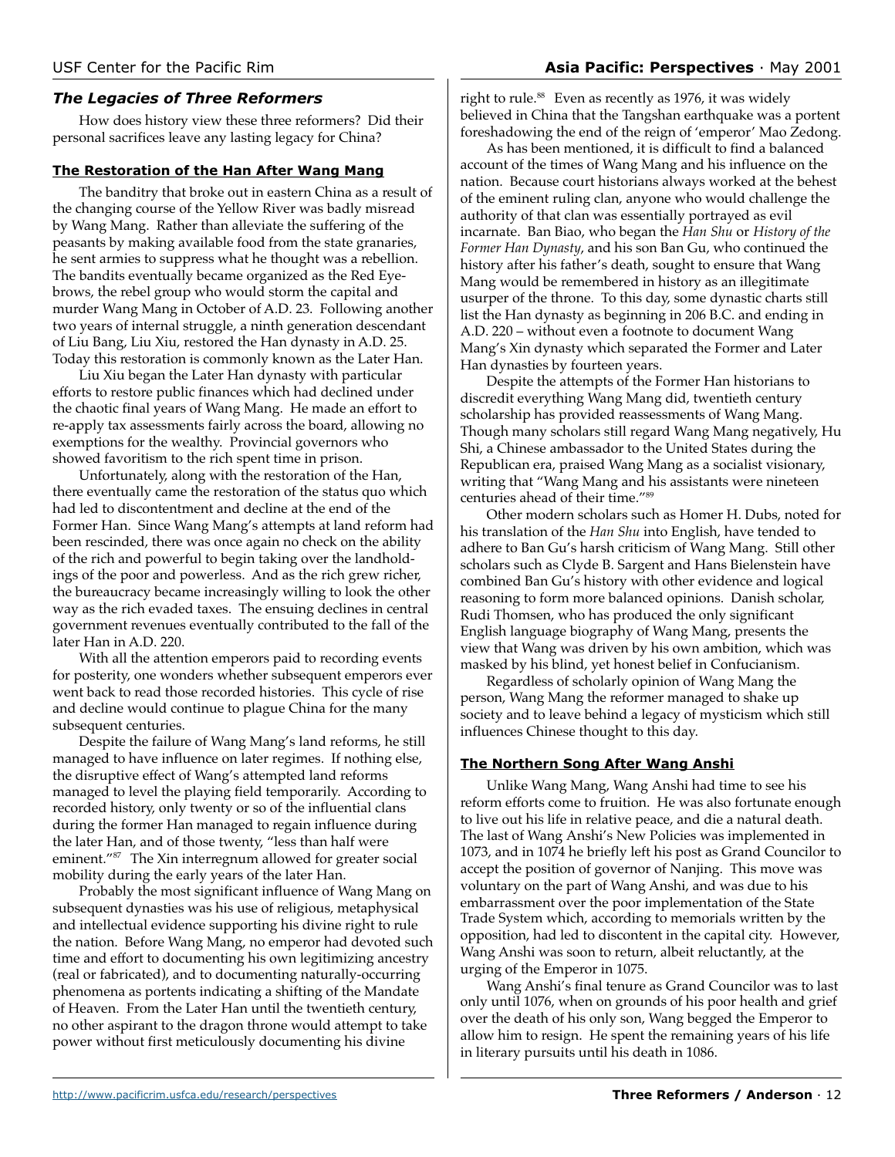# *The Legacies of Three Reformers*

How does history view these three reformers? Did their personal sacrifices leave any lasting legacy for China?

### **The Restoration of the Han After Wang Mang**

The banditry that broke out in eastern China as a result of the changing course of the Yellow River was badly misread by Wang Mang. Rather than alleviate the suffering of the peasants by making available food from the state granaries, he sent armies to suppress what he thought was a rebellion. The bandits eventually became organized as the Red Eyebrows, the rebel group who would storm the capital and murder Wang Mang in October of A.D. 23. Following another two years of internal struggle, a ninth generation descendant of Liu Bang, Liu Xiu, restored the Han dynasty in A.D. 25. Today this restoration is commonly known as the Later Han.

Liu Xiu began the Later Han dynasty with particular efforts to restore public finances which had declined under the chaotic final years of Wang Mang. He made an effort to re-apply tax assessments fairly across the board, allowing no exemptions for the wealthy. Provincial governors who showed favoritism to the rich spent time in prison.

Unfortunately, along with the restoration of the Han, there eventually came the restoration of the status quo which had led to discontentment and decline at the end of the Former Han. Since Wang Mang's attempts at land reform had been rescinded, there was once again no check on the ability of the rich and powerful to begin taking over the landholdings of the poor and powerless. And as the rich grew richer, the bureaucracy became increasingly willing to look the other way as the rich evaded taxes. The ensuing declines in central government revenues eventually contributed to the fall of the later Han in A.D. 220.

With all the attention emperors paid to recording events for posterity, one wonders whether subsequent emperors ever went back to read those recorded histories. This cycle of rise and decline would continue to plague China for the many subsequent centuries.

Despite the failure of Wang Mang's land reforms, he still managed to have influence on later regimes. If nothing else, the disruptive effect of Wang's attempted land reforms managed to level the playing field temporarily. According to recorded history, only twenty or so of the influential clans during the former Han managed to regain influence during the later Han, and of those twenty, "less than half were eminent."87 The Xin interregnum allowed for greater social mobility during the early years of the later Han.

Probably the most significant influence of Wang Mang on subsequent dynasties was his use of religious, metaphysical and intellectual evidence supporting his divine right to rule the nation. Before Wang Mang, no emperor had devoted such time and effort to documenting his own legitimizing ancestry (real or fabricated), and to documenting naturally-occurring phenomena as portents indicating a shifting of the Mandate of Heaven. From the Later Han until the twentieth century, no other aspirant to the dragon throne would attempt to take power without first meticulously documenting his divine

right to rule.<sup>88</sup> Even as recently as 1976, it was widely believed in China that the Tangshan earthquake was a portent foreshadowing the end of the reign of 'emperor' Mao Zedong.

As has been mentioned, it is difficult to find a balanced account of the times of Wang Mang and his influence on the nation. Because court historians always worked at the behest of the eminent ruling clan, anyone who would challenge the authority of that clan was essentially portrayed as evil incarnate. Ban Biao, who began the *Han Shu* or *History of the Former Han Dynasty*, and his son Ban Gu, who continued the history after his father's death, sought to ensure that Wang Mang would be remembered in history as an illegitimate usurper of the throne. To this day, some dynastic charts still list the Han dynasty as beginning in 206 B.C. and ending in A.D. 220 – without even a footnote to document Wang Mang's Xin dynasty which separated the Former and Later Han dynasties by fourteen years.

Despite the attempts of the Former Han historians to discredit everything Wang Mang did, twentieth century scholarship has provided reassessments of Wang Mang. Though many scholars still regard Wang Mang negatively, Hu Shi, a Chinese ambassador to the United States during the Republican era, praised Wang Mang as a socialist visionary, writing that "Wang Mang and his assistants were nineteen centuries ahead of their time."89

Other modern scholars such as Homer H. Dubs, noted for his translation of the *Han Shu* into English, have tended to adhere to Ban Gu's harsh criticism of Wang Mang. Still other scholars such as Clyde B. Sargent and Hans Bielenstein have combined Ban Gu's history with other evidence and logical reasoning to form more balanced opinions. Danish scholar, Rudi Thomsen, who has produced the only significant English language biography of Wang Mang, presents the view that Wang was driven by his own ambition, which was masked by his blind, yet honest belief in Confucianism.

Regardless of scholarly opinion of Wang Mang the person, Wang Mang the reformer managed to shake up society and to leave behind a legacy of mysticism which still influences Chinese thought to this day.

# **The Northern Song After Wang Anshi**

Unlike Wang Mang, Wang Anshi had time to see his reform efforts come to fruition. He was also fortunate enough to live out his life in relative peace, and die a natural death. The last of Wang Anshi's New Policies was implemented in 1073, and in 1074 he briefly left his post as Grand Councilor to accept the position of governor of Nanjing. This move was voluntary on the part of Wang Anshi, and was due to his embarrassment over the poor implementation of the State Trade System which, according to memorials written by the opposition, had led to discontent in the capital city. However, Wang Anshi was soon to return, albeit reluctantly, at the urging of the Emperor in 1075.

Wang Anshi's final tenure as Grand Councilor was to last only until 1076, when on grounds of his poor health and grief over the death of his only son, Wang begged the Emperor to allow him to resign. He spent the remaining years of his life in literary pursuits until his death in 1086.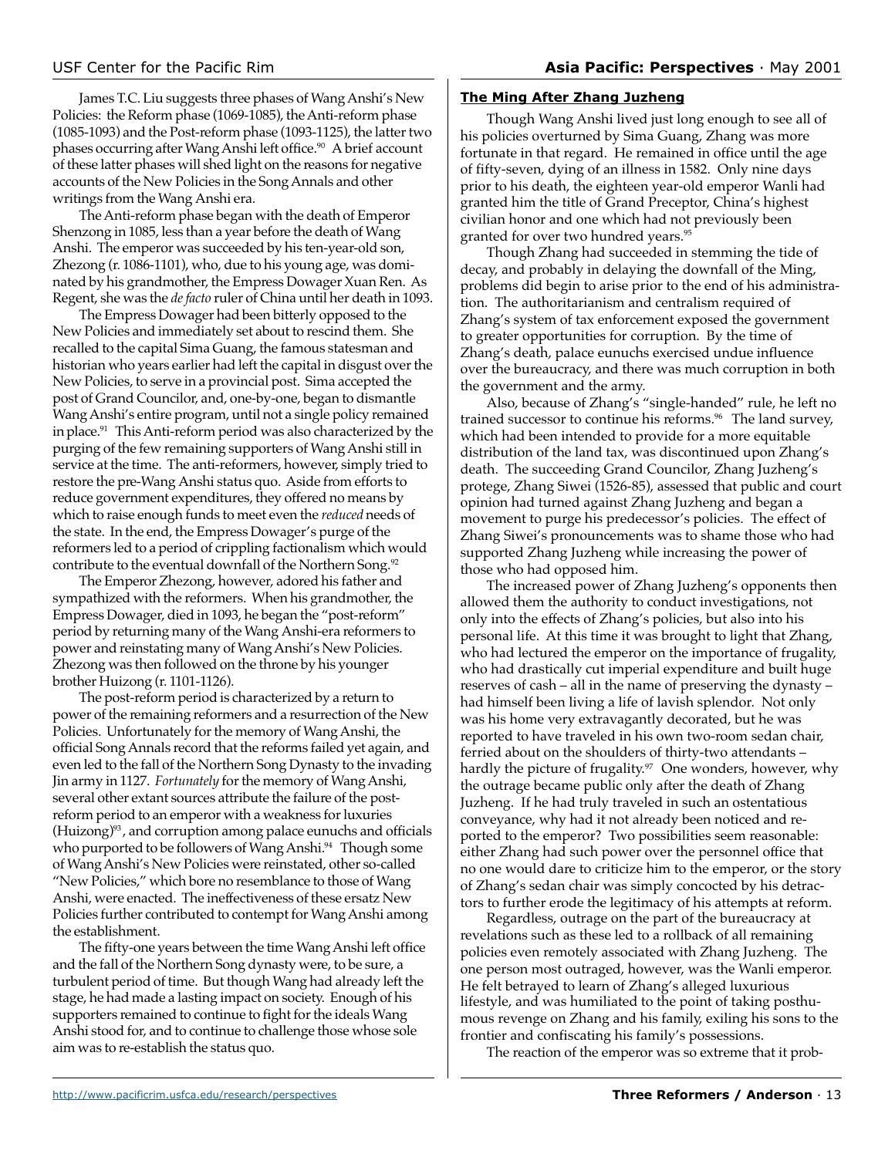James T.C. Liu suggests three phases of Wang Anshi's New Policies: the Reform phase (1069-1085), the Anti-reform phase (1085-1093) and the Post-reform phase (1093-1125), the latter two phases occurring after Wang Anshi left office.<sup>90</sup> A brief account of these latter phases will shed light on the reasons for negative accounts of the New Policies in the Song Annals and other writings from the Wang Anshi era.

The Anti-reform phase began with the death of Emperor Shenzong in 1085, less than a year before the death of Wang Anshi. The emperor was succeeded by his ten-year-old son, Zhezong (r. 1086-1101), who, due to his young age, was dominated by his grandmother, the Empress Dowager Xuan Ren. As Regent, she was the *de facto* ruler of China until her death in 1093.

The Empress Dowager had been bitterly opposed to the New Policies and immediately set about to rescind them. She recalled to the capital Sima Guang, the famous statesman and historian who years earlier had left the capital in disgust over the New Policies, to serve in a provincial post. Sima accepted the post of Grand Councilor, and, one-by-one, began to dismantle Wang Anshi's entire program, until not a single policy remained in place.<sup>91</sup> This Anti-reform period was also characterized by the purging of the few remaining supporters of Wang Anshi still in service at the time. The anti-reformers, however, simply tried to restore the pre-Wang Anshi status quo. Aside from efforts to reduce government expenditures, they offered no means by which to raise enough funds to meet even the *reduced* needs of the state. In the end, the Empress Dowager's purge of the reformers led to a period of crippling factionalism which would contribute to the eventual downfall of the Northern Song.<sup>92</sup>

The Emperor Zhezong, however, adored his father and sympathized with the reformers. When his grandmother, the Empress Dowager, died in 1093, he began the "post-reform" period by returning many of the Wang Anshi-era reformers to power and reinstating many of Wang Anshi's New Policies. Zhezong was then followed on the throne by his younger brother Huizong (r. 1101-1126).

The post-reform period is characterized by a return to power of the remaining reformers and a resurrection of the New Policies. Unfortunately for the memory of Wang Anshi, the official Song Annals record that the reforms failed yet again, and even led to the fall of the Northern Song Dynasty to the invading Jin army in 1127. *Fortunately* for the memory of Wang Anshi, several other extant sources attribute the failure of the postreform period to an emperor with a weakness for luxuries  $(Huizong)<sup>93</sup>$ , and corruption among palace eunuchs and officials who purported to be followers of Wang Anshi.<sup>94</sup> Though some of Wang Anshi's New Policies were reinstated, other so-called "New Policies," which bore no resemblance to those of Wang Anshi, were enacted. The ineffectiveness of these ersatz New Policies further contributed to contempt for Wang Anshi among the establishment.

The fifty-one years between the time Wang Anshi left office and the fall of the Northern Song dynasty were, to be sure, a turbulent period of time. But though Wang had already left the stage, he had made a lasting impact on society. Enough of his supporters remained to continue to fight for the ideals Wang Anshi stood for, and to continue to challenge those whose sole aim was to re-establish the status quo.

### **The Ming After Zhang Juzheng**

Though Wang Anshi lived just long enough to see all of his policies overturned by Sima Guang, Zhang was more fortunate in that regard. He remained in office until the age of fifty-seven, dying of an illness in 1582. Only nine days prior to his death, the eighteen year-old emperor Wanli had granted him the title of Grand Preceptor, China's highest civilian honor and one which had not previously been granted for over two hundred years.<sup>95</sup>

Though Zhang had succeeded in stemming the tide of decay, and probably in delaying the downfall of the Ming, problems did begin to arise prior to the end of his administration. The authoritarianism and centralism required of Zhang's system of tax enforcement exposed the government to greater opportunities for corruption. By the time of Zhang's death, palace eunuchs exercised undue influence over the bureaucracy, and there was much corruption in both the government and the army.

Also, because of Zhang's "single-handed" rule, he left no trained successor to continue his reforms.<sup>96</sup> The land survey, which had been intended to provide for a more equitable distribution of the land tax, was discontinued upon Zhang's death. The succeeding Grand Councilor, Zhang Juzheng's protege, Zhang Siwei (1526-85), assessed that public and court opinion had turned against Zhang Juzheng and began a movement to purge his predecessor's policies. The effect of Zhang Siwei's pronouncements was to shame those who had supported Zhang Juzheng while increasing the power of those who had opposed him.

The increased power of Zhang Juzheng's opponents then allowed them the authority to conduct investigations, not only into the effects of Zhang's policies, but also into his personal life. At this time it was brought to light that Zhang, who had lectured the emperor on the importance of frugality, who had drastically cut imperial expenditure and built huge reserves of cash – all in the name of preserving the dynasty – had himself been living a life of lavish splendor. Not only was his home very extravagantly decorated, but he was reported to have traveled in his own two-room sedan chair, ferried about on the shoulders of thirty-two attendants – hardly the picture of frugality.<sup>97</sup> One wonders, however, why the outrage became public only after the death of Zhang Juzheng. If he had truly traveled in such an ostentatious conveyance, why had it not already been noticed and reported to the emperor? Two possibilities seem reasonable: either Zhang had such power over the personnel office that no one would dare to criticize him to the emperor, or the story of Zhang's sedan chair was simply concocted by his detractors to further erode the legitimacy of his attempts at reform.

Regardless, outrage on the part of the bureaucracy at revelations such as these led to a rollback of all remaining policies even remotely associated with Zhang Juzheng. The one person most outraged, however, was the Wanli emperor. He felt betrayed to learn of Zhang's alleged luxurious lifestyle, and was humiliated to the point of taking posthumous revenge on Zhang and his family, exiling his sons to the frontier and confiscating his family's possessions.

The reaction of the emperor was so extreme that it prob-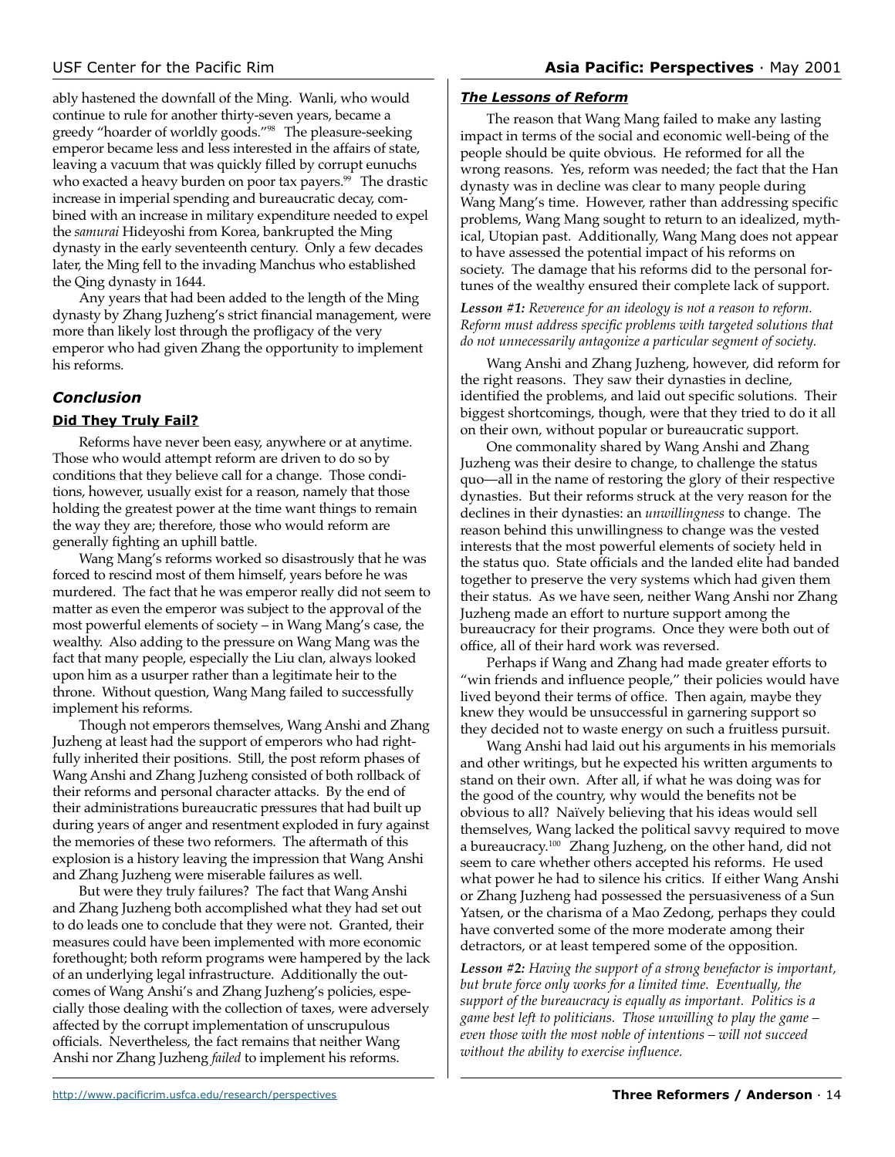ably hastened the downfall of the Ming. Wanli, who would continue to rule for another thirty-seven years, became a greedy "hoarder of worldly goods."98 The pleasure-seeking emperor became less and less interested in the affairs of state, leaving a vacuum that was quickly filled by corrupt eunuchs who exacted a heavy burden on poor tax payers.<sup>99</sup> The drastic increase in imperial spending and bureaucratic decay, combined with an increase in military expenditure needed to expel the *samurai* Hideyoshi from Korea, bankrupted the Ming dynasty in the early seventeenth century. Only a few decades later, the Ming fell to the invading Manchus who established the Qing dynasty in 1644.

Any years that had been added to the length of the Ming dynasty by Zhang Juzheng's strict financial management, were more than likely lost through the profligacy of the very emperor who had given Zhang the opportunity to implement his reforms.

# *Conclusion*

### **Did They Truly Fail?**

Reforms have never been easy, anywhere or at anytime. Those who would attempt reform are driven to do so by conditions that they believe call for a change. Those conditions, however, usually exist for a reason, namely that those holding the greatest power at the time want things to remain the way they are; therefore, those who would reform are generally fighting an uphill battle.

Wang Mang's reforms worked so disastrously that he was forced to rescind most of them himself, years before he was murdered. The fact that he was emperor really did not seem to matter as even the emperor was subject to the approval of the most powerful elements of society – in Wang Mang's case, the wealthy. Also adding to the pressure on Wang Mang was the fact that many people, especially the Liu clan, always looked upon him as a usurper rather than a legitimate heir to the throne. Without question, Wang Mang failed to successfully implement his reforms.

Though not emperors themselves, Wang Anshi and Zhang Juzheng at least had the support of emperors who had rightfully inherited their positions. Still, the post reform phases of Wang Anshi and Zhang Juzheng consisted of both rollback of their reforms and personal character attacks. By the end of their administrations bureaucratic pressures that had built up during years of anger and resentment exploded in fury against the memories of these two reformers. The aftermath of this explosion is a history leaving the impression that Wang Anshi and Zhang Juzheng were miserable failures as well.

But were they truly failures? The fact that Wang Anshi and Zhang Juzheng both accomplished what they had set out to do leads one to conclude that they were not. Granted, their measures could have been implemented with more economic forethought; both reform programs were hampered by the lack of an underlying legal infrastructure. Additionally the outcomes of Wang Anshi's and Zhang Juzheng's policies, especially those dealing with the collection of taxes, were adversely affected by the corrupt implementation of unscrupulous officials. Nevertheless, the fact remains that neither Wang Anshi nor Zhang Juzheng *failed* to implement his reforms.

### *The Lessons of Reform*

The reason that Wang Mang failed to make any lasting impact in terms of the social and economic well-being of the people should be quite obvious. He reformed for all the wrong reasons. Yes, reform was needed; the fact that the Han dynasty was in decline was clear to many people during Wang Mang's time. However, rather than addressing specific problems, Wang Mang sought to return to an idealized, mythical, Utopian past. Additionally, Wang Mang does not appear to have assessed the potential impact of his reforms on society. The damage that his reforms did to the personal fortunes of the wealthy ensured their complete lack of support.

### *Lesson #1: Reverence for an ideology is not a reason to reform. Reform must address specific problems with targeted solutions that do not unnecessarily antagonize a particular segment of society.*

Wang Anshi and Zhang Juzheng, however, did reform for the right reasons. They saw their dynasties in decline, identified the problems, and laid out specific solutions. Their biggest shortcomings, though, were that they tried to do it all on their own, without popular or bureaucratic support.

One commonality shared by Wang Anshi and Zhang Juzheng was their desire to change, to challenge the status quo—all in the name of restoring the glory of their respective dynasties. But their reforms struck at the very reason for the declines in their dynasties: an *unwillingness* to change. The reason behind this unwillingness to change was the vested interests that the most powerful elements of society held in the status quo. State officials and the landed elite had banded together to preserve the very systems which had given them their status. As we have seen, neither Wang Anshi nor Zhang Juzheng made an effort to nurture support among the bureaucracy for their programs. Once they were both out of office, all of their hard work was reversed.

Perhaps if Wang and Zhang had made greater efforts to "win friends and influence people," their policies would have lived beyond their terms of office. Then again, maybe they knew they would be unsuccessful in garnering support so they decided not to waste energy on such a fruitless pursuit.

Wang Anshi had laid out his arguments in his memorials and other writings, but he expected his written arguments to stand on their own. After all, if what he was doing was for the good of the country, why would the benefits not be obvious to all? Naïvely believing that his ideas would sell themselves, Wang lacked the political savvy required to move a bureaucracy.100 Zhang Juzheng, on the other hand, did not seem to care whether others accepted his reforms. He used what power he had to silence his critics. If either Wang Anshi or Zhang Juzheng had possessed the persuasiveness of a Sun Yatsen, or the charisma of a Mao Zedong, perhaps they could have converted some of the more moderate among their detractors, or at least tempered some of the opposition.

*Lesson #2: Having the support of a strong benefactor is important, but brute force only works for a limited time. Eventually, the support of the bureaucracy is equally as important. Politics is a game best left to politicians. Those unwilling to play the game – even those with the most noble of intentions – will not succeed without the ability to exercise influence.*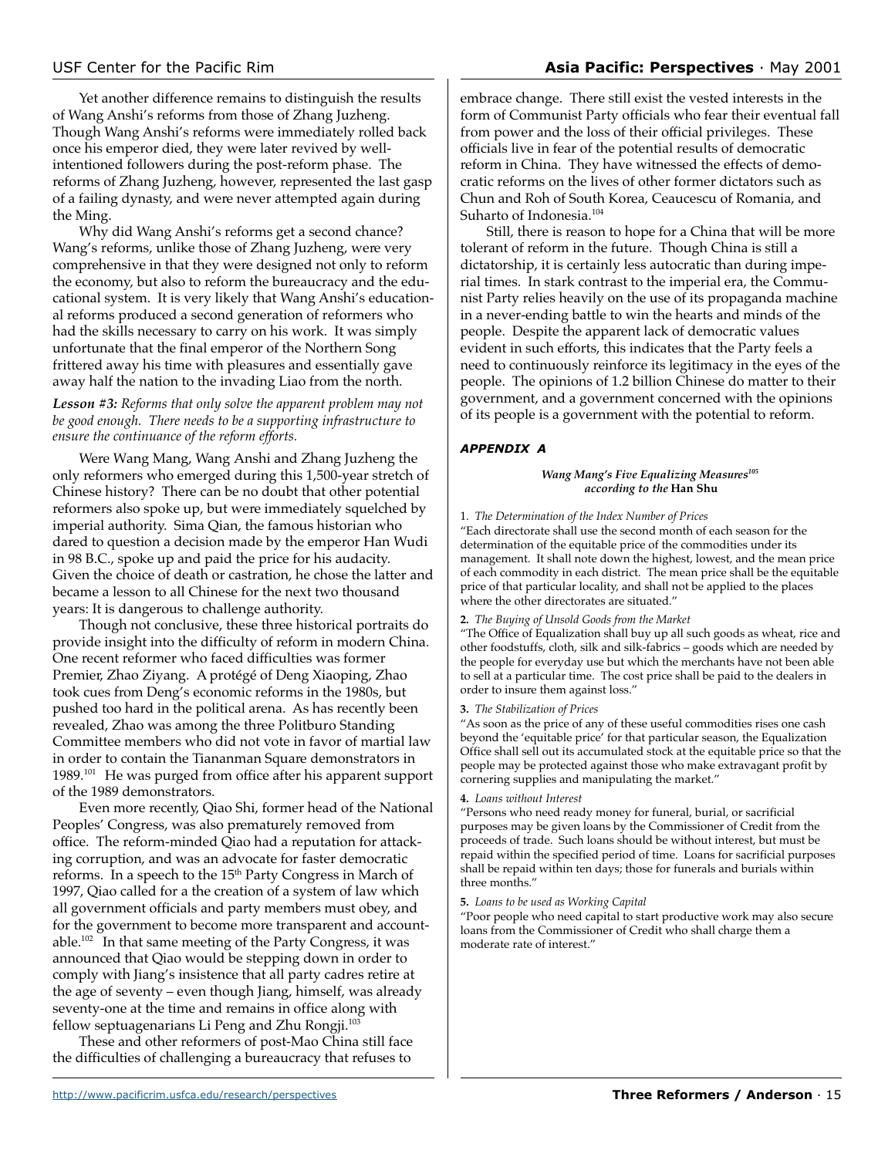### USF Center for the Pacific Rim **Asia Pacific: Perspectives** · May 2001

Yet another difference remains to distinguish the results of Wang Anshi's reforms from those of Zhang Juzheng. Though Wang Anshi's reforms were immediately rolled back once his emperor died, they were later revived by wellintentioned followers during the post-reform phase. The reforms of Zhang Juzheng, however, represented the last gasp of a failing dynasty, and were never attempted again during the Ming.

Why did Wang Anshi's reforms get a second chance? Wang's reforms, unlike those of Zhang Juzheng, were very comprehensive in that they were designed not only to reform the economy, but also to reform the bureaucracy and the educational system. It is very likely that Wang Anshi's educational reforms produced a second generation of reformers who had the skills necessary to carry on his work. It was simply unfortunate that the final emperor of the Northern Song frittered away his time with pleasures and essentially gave away half the nation to the invading Liao from the north.

### *Lesson #3: Reforms that only solve the apparent problem may not be good enough. There needs to be a supporting infrastructure to ensure the continuance of the reform efforts.*

Were Wang Mang, Wang Anshi and Zhang Juzheng the only reformers who emerged during this 1,500-year stretch of Chinese history? There can be no doubt that other potential reformers also spoke up, but were immediately squelched by imperial authority. Sima Qian, the famous historian who dared to question a decision made by the emperor Han Wudi in 98 B.C., spoke up and paid the price for his audacity. Given the choice of death or castration, he chose the latter and became a lesson to all Chinese for the next two thousand years: It is dangerous to challenge authority.

Though not conclusive, these three historical portraits do provide insight into the difficulty of reform in modern China. One recent reformer who faced difficulties was former Premier, Zhao Ziyang. A protégé of Deng Xiaoping, Zhao took cues from Deng's economic reforms in the 1980s, but pushed too hard in the political arena. As has recently been revealed, Zhao was among the three Politburo Standing Committee members who did not vote in favor of martial law in order to contain the Tiananman Square demonstrators in 1989.101 He was purged from office after his apparent support of the 1989 demonstrators.

Even more recently, Qiao Shi, former head of the National Peoples' Congress, was also prematurely removed from office. The reform-minded Qiao had a reputation for attacking corruption, and was an advocate for faster democratic reforms. In a speech to the 15<sup>th</sup> Party Congress in March of 1997, Qiao called for a the creation of a system of law which all government officials and party members must obey, and for the government to become more transparent and accountable.102 In that same meeting of the Party Congress, it was announced that Qiao would be stepping down in order to comply with Jiang's insistence that all party cadres retire at the age of seventy – even though Jiang, himself, was already seventy-one at the time and remains in office along with fellow septuagenarians Li Peng and Zhu Rongji.103

These and other reformers of post-Mao China still face the difficulties of challenging a bureaucracy that refuses to

embrace change. There still exist the vested interests in the form of Communist Party officials who fear their eventual fall from power and the loss of their official privileges. These officials live in fear of the potential results of democratic reform in China. They have witnessed the effects of democratic reforms on the lives of other former dictators such as Chun and Roh of South Korea, Ceaucescu of Romania, and Suharto of Indonesia.<sup>104</sup>

Still, there is reason to hope for a China that will be more tolerant of reform in the future. Though China is still a dictatorship, it is certainly less autocratic than during imperial times. In stark contrast to the imperial era, the Communist Party relies heavily on the use of its propaganda machine in a never-ending battle to win the hearts and minds of the people. Despite the apparent lack of democratic values evident in such efforts, this indicates that the Party feels a need to continuously reinforce its legitimacy in the eyes of the people. The opinions of 1.2 billion Chinese do matter to their government, and a government concerned with the opinions of its people is a government with the potential to reform.

### *APPENDIX A*

### *Wang Mang's Five Equalizing Measures105 according to the* **Han Shu**

1. *The Determination of the Index Number of Prices*

"Each directorate shall use the second month of each season for the determination of the equitable price of the commodities under its management. It shall note down the highest, lowest, and the mean price of each commodity in each district. The mean price shall be the equitable price of that particular locality, and shall not be applied to the places where the other directorates are situated."

### **2.** *The Buying of Unsold Goods from the Market*

"The Office of Equalization shall buy up all such goods as wheat, rice and other foodstuffs, cloth, silk and silk-fabrics – goods which are needed by the people for everyday use but which the merchants have not been able to sell at a particular time. The cost price shall be paid to the dealers in order to insure them against loss."

### **3.** *The Stabilization of Prices*

"As soon as the price of any of these useful commodities rises one cash beyond the 'equitable price' for that particular season, the Equalization Office shall sell out its accumulated stock at the equitable price so that the people may be protected against those who make extravagant profit by cornering supplies and manipulating the market."

### **4.** *Loans without Interest*

"Persons who need ready money for funeral, burial, or sacrificial purposes may be given loans by the Commissioner of Credit from the proceeds of trade. Such loans should be without interest, but must be repaid within the specified period of time. Loans for sacrificial purposes shall be repaid within ten days; those for funerals and burials within three months."

### **5.** *Loans to be used as Working Capital*

"Poor people who need capital to start productive work may also secure loans from the Commissioner of Credit who shall charge them a moderate rate of interest."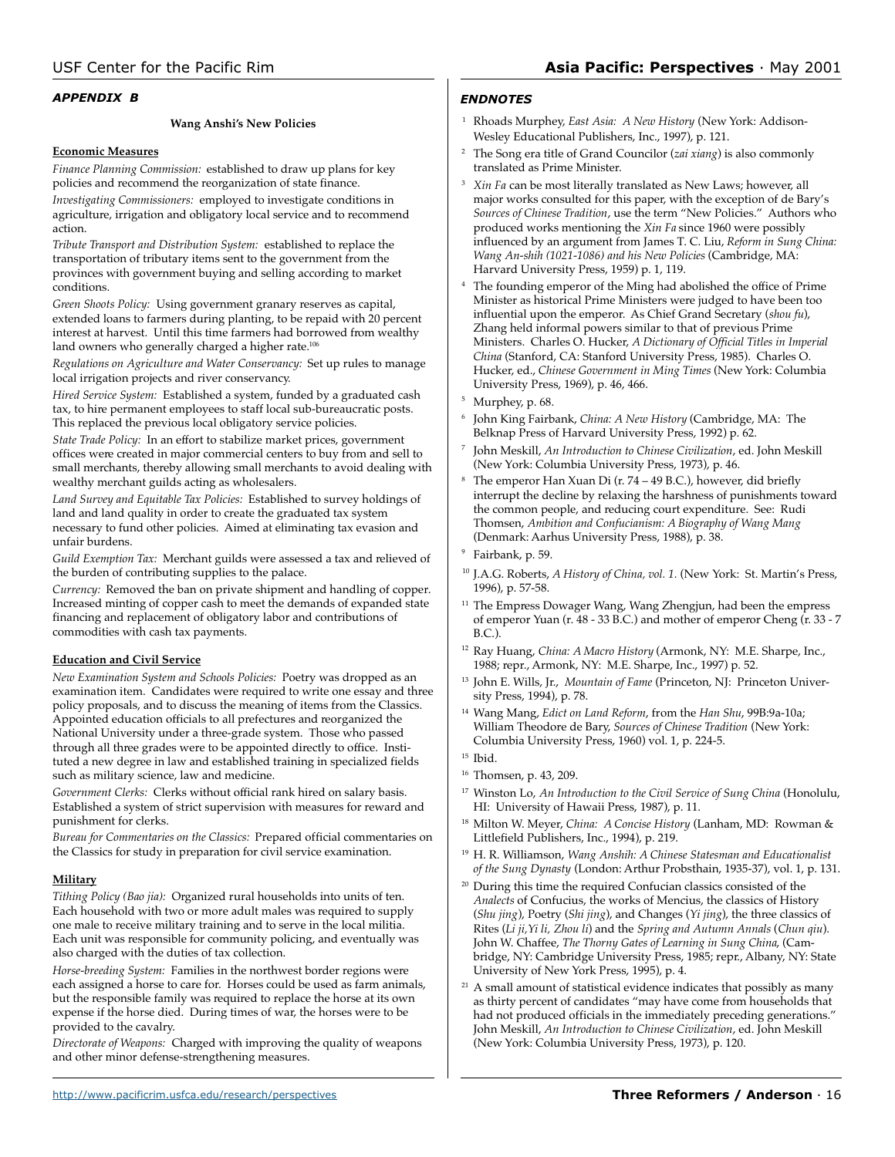### *APPENDIX B*

### **Wang Anshi's New Policies**

### **Economic Measures**

*Finance Planning Commission:* established to draw up plans for key policies and recommend the reorganization of state finance. *Investigating Commissioners:* employed to investigate conditions in agriculture, irrigation and obligatory local service and to recommend action.

*Tribute Transport and Distribution System:* established to replace the transportation of tributary items sent to the government from the provinces with government buying and selling according to market conditions.

*Green Shoots Policy:* Using government granary reserves as capital, extended loans to farmers during planting, to be repaid with 20 percent interest at harvest. Until this time farmers had borrowed from wealthy land owners who generally charged a higher rate.<sup>106</sup>

*Regulations on Agriculture and Water Conservancy:* Set up rules to manage local irrigation projects and river conservancy.

*Hired Service System:* Established a system, funded by a graduated cash tax, to hire permanent employees to staff local sub-bureaucratic posts. This replaced the previous local obligatory service policies.

*State Trade Policy:* In an effort to stabilize market prices, government offices were created in major commercial centers to buy from and sell to small merchants, thereby allowing small merchants to avoid dealing with wealthy merchant guilds acting as wholesalers.

*Land Survey and Equitable Tax Policies:* Established to survey holdings of land and land quality in order to create the graduated tax system necessary to fund other policies. Aimed at eliminating tax evasion and unfair burdens.

*Guild Exemption Tax:* Merchant guilds were assessed a tax and relieved of the burden of contributing supplies to the palace.

*Currency:* Removed the ban on private shipment and handling of copper. Increased minting of copper cash to meet the demands of expanded state financing and replacement of obligatory labor and contributions of commodities with cash tax payments.

### **Education and Civil Service**

*New Examination System and Schools Policies:* Poetry was dropped as an examination item. Candidates were required to write one essay and three policy proposals, and to discuss the meaning of items from the Classics. Appointed education officials to all prefectures and reorganized the National University under a three-grade system. Those who passed through all three grades were to be appointed directly to office. Instituted a new degree in law and established training in specialized fields such as military science, law and medicine.

*Government Clerks:* Clerks without official rank hired on salary basis. Established a system of strict supervision with measures for reward and punishment for clerks.

*Bureau for Commentaries on the Classics:* Prepared official commentaries on the Classics for study in preparation for civil service examination.

### **Military**

*Tithing Policy (Bao jia):* Organized rural households into units of ten. Each household with two or more adult males was required to supply one male to receive military training and to serve in the local militia. Each unit was responsible for community policing, and eventually was also charged with the duties of tax collection.

*Horse-breeding System:* Families in the northwest border regions were each assigned a horse to care for. Horses could be used as farm animals, but the responsible family was required to replace the horse at its own expense if the horse died. During times of war, the horses were to be provided to the cavalry.

*Directorate of Weapons:* Charged with improving the quality of weapons and other minor defense-strengthening measures.

### *ENDNOTES*

- <sup>1</sup> Rhoads Murphey, *East Asia: A New History* (New York: Addison-Wesley Educational Publishers, Inc., 1997), p. 121.
- <sup>2</sup> The Song era title of Grand Councilor (*zai xiang*) is also commonly translated as Prime Minister.
- <sup>3</sup> *Xin Fa* can be most literally translated as New Laws; however, all major works consulted for this paper, with the exception of de Bary's *Sources of Chinese Tradition*, use the term "New Policies." Authors who produced works mentioning the *Xin Fa* since 1960 were possibly influenced by an argument from James T. C. Liu, *Reform in Sung China: Wang An-shih (1021-1086) and his New Policies* (Cambridge, MA: Harvard University Press, 1959) p. 1, 119.
- The founding emperor of the Ming had abolished the office of Prime Minister as historical Prime Ministers were judged to have been too influential upon the emperor. As Chief Grand Secretary (*shou fu*), Zhang held informal powers similar to that of previous Prime Ministers. Charles O. Hucker, *A Dictionary of Official Titles in Imperial China* (Stanford, CA: Stanford University Press, 1985). Charles O. Hucker, ed., *Chinese Government in Ming Times* (New York: Columbia University Press, 1969), p. 46, 466.
- Murphey, p. 68.
- <sup>6</sup> John King Fairbank, *China: A New History* (Cambridge, MA: The Belknap Press of Harvard University Press, 1992) p. 62.
- <sup>7</sup> John Meskill, *An Introduction to Chinese Civilization*, ed. John Meskill (New York: Columbia University Press, 1973), p. 46.
- The emperor Han Xuan Di (r. 74 49 B.C.), however, did briefly interrupt the decline by relaxing the harshness of punishments toward the common people, and reducing court expenditure. See: Rudi Thomsen, *Ambition and Confucianism: A Biography of Wang Mang* (Denmark: Aarhus University Press, 1988), p. 38.
- Fairbank, p. 59.
- <sup>10</sup> J.A.G. Roberts, *A History of China, vol. 1*. (New York: St. Martin's Press, 1996), p. 57-58.
- <sup>11</sup> The Empress Dowager Wang, Wang Zhengjun, had been the empress of emperor Yuan (r. 48 - 33 B.C.) and mother of emperor Cheng (r. 33 - 7 B.C.).
- <sup>12</sup> Ray Huang, *China: A Macro History* (Armonk, NY: M.E. Sharpe, Inc., 1988; repr., Armonk, NY: M.E. Sharpe, Inc., 1997) p. 52.
- <sup>13</sup> John E. Wills, Jr., *Mountain of Fame* (Princeton, NJ: Princeton University Press, 1994), p. 78.
- <sup>14</sup> Wang Mang, *Edict on Land Reform*, from the *Han Shu*, 99B:9a-10a; William Theodore de Bary, *Sources of Chinese Tradition* (New York: Columbia University Press, 1960) vol. 1, p. 224-5.
- $15$  Ibid.
- <sup>16</sup> Thomsen, p. 43, 209.
- <sup>17</sup> Winston Lo, *An Introduction to the Civil Service of Sung China* (Honolulu, HI: University of Hawaii Press, 1987), p. 11.
- <sup>18</sup> Milton W. Meyer, *China: A Concise History* (Lanham, MD: Rowman & Littlefield Publishers, Inc., 1994), p. 219.
- <sup>19</sup> H. R. Williamson, *Wang Anshih: A Chinese Statesman and Educationalist of the Sung Dynasty* (London: Arthur Probsthain, 1935-37), vol. 1, p. 131.
- <sup>20</sup> During this time the required Confucian classics consisted of the *Analects* of Confucius, the works of Mencius, the classics of History (*Shu jing*), Poetry (*Shi jing*), and Changes (*Yi jing*), the three classics of Rites (*Li ji,Yi li, Zhou li*) and the *Spring and Autumn Annals* (*Chun qiu*). John W. Chaffee, *The Thorny Gates of Learning in Sung China*, (Cambridge, NY: Cambridge University Press, 1985; repr., Albany, NY: State University of New York Press, 1995), p. 4.
- $21$  A small amount of statistical evidence indicates that possibly as many as thirty percent of candidates "may have come from households that had not produced officials in the immediately preceding generations." John Meskill, *An Introduction to Chinese Civilization*, ed. John Meskill (New York: Columbia University Press, 1973), p. 120.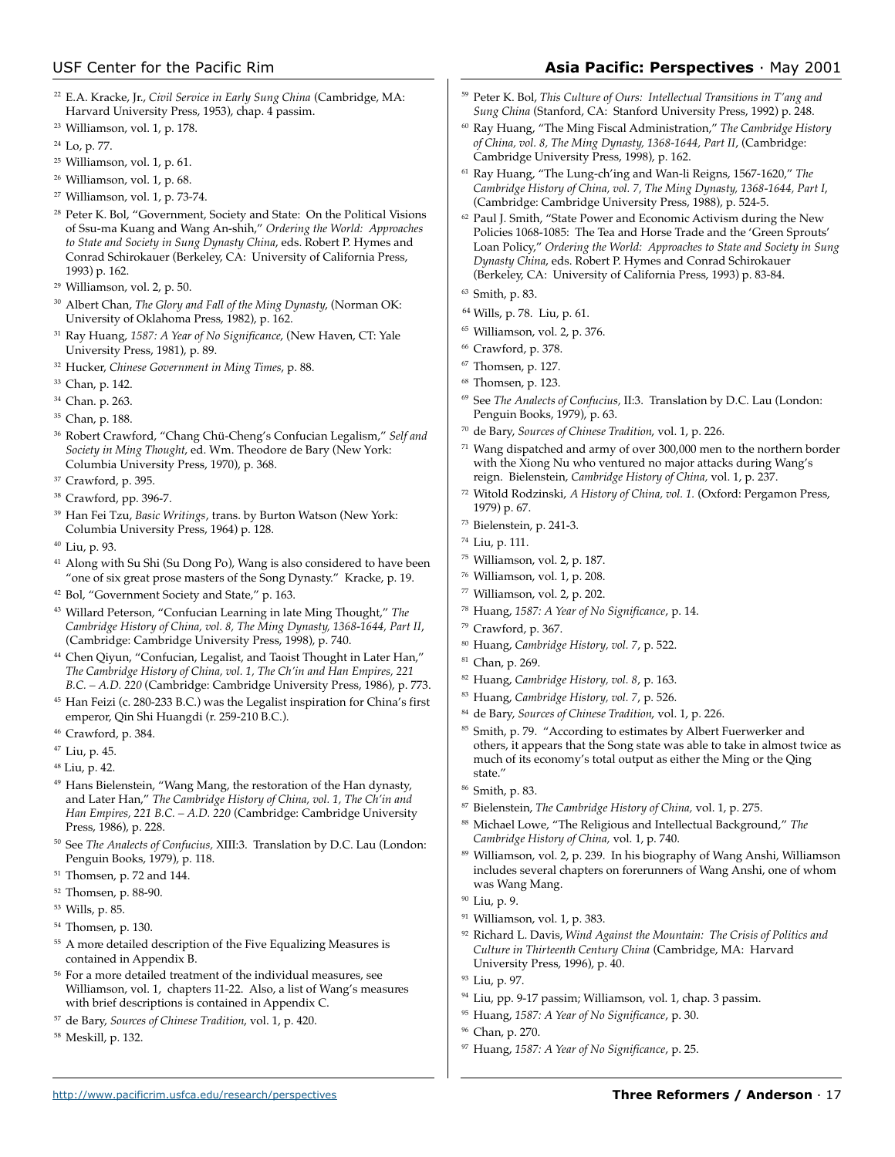- <sup>22</sup> E.A. Kracke, Jr., *Civil Service in Early Sung China* (Cambridge, MA: Harvard University Press, 1953), chap. 4 passim.
- <sup>23</sup> Williamson, vol. 1, p. 178.
- <sup>24</sup> Lo, p. 77.
- <sup>25</sup> Williamson, vol. 1, p. 61.
- <sup>26</sup> Williamson, vol. 1, p. 68.
- <sup>27</sup> Williamson, vol. 1, p. 73-74.
- <sup>28</sup> Peter K. Bol, "Government, Society and State: On the Political Visions of Ssu-ma Kuang and Wang An-shih," *Ordering the World: Approaches to State and Society in Sung Dynasty China*, eds. Robert P. Hymes and Conrad Schirokauer (Berkeley, CA: University of California Press, 1993) p. 162.
- <sup>29</sup> Williamson, vol. 2, p. 50.
- <sup>30</sup> Albert Chan, *The Glory and Fall of the Ming Dynasty*, (Norman OK: University of Oklahoma Press, 1982), p. 162.
- <sup>31</sup> Ray Huang, *1587: A Year of No Significance*, (New Haven, CT: Yale University Press, 1981), p. 89.
- <sup>32</sup> Hucker, *Chinese Government in Ming Times*, p. 88.
- <sup>33</sup> Chan, p. 142.
- <sup>34</sup> Chan. p. 263.
- <sup>35</sup> Chan, p. 188.
- <sup>36</sup> Robert Crawford, "Chang Chü-Cheng's Confucian Legalism," *Self and Society in Ming Thought*, ed. Wm. Theodore de Bary (New York: Columbia University Press, 1970), p. 368.
- <sup>37</sup> Crawford, p. 395.
- <sup>38</sup> Crawford, pp. 396-7.
- <sup>39</sup> Han Fei Tzu, *Basic Writings*, trans. by Burton Watson (New York: Columbia University Press, 1964) p. 128.
- <sup>40</sup> Liu, p. 93.
- <sup>41</sup> Along with Su Shi (Su Dong Po), Wang is also considered to have been "one of six great prose masters of the Song Dynasty." Kracke, p. 19.
- <sup>42</sup> Bol, "Government Society and State," p. 163.
- <sup>43</sup> Willard Peterson, "Confucian Learning in late Ming Thought," *The Cambridge History of China, vol. 8, The Ming Dynasty, 1368-1644, Part II*, (Cambridge: Cambridge University Press, 1998), p. 740.
- <sup>44</sup> Chen Qiyun, "Confucian, Legalist, and Taoist Thought in Later Han," *The Cambridge History of China, vol. 1, The Ch'in and Han Empires, 221 B.C. – A.D. 220* (Cambridge: Cambridge University Press, 1986), p. 773.
- <sup>45</sup> Han Feizi (c. 280-233 B.C.) was the Legalist inspiration for China's first emperor, Qin Shi Huangdi (r. 259-210 B.C.).
- <sup>46</sup> Crawford, p. 384.
- <sup>47</sup> Liu, p. 45.
- 48 Liu, p. 42.
- <sup>49</sup> Hans Bielenstein, "Wang Mang, the restoration of the Han dynasty, and Later Han," *The Cambridge History of China, vol. 1, The Ch'in and Han Empires, 221 B.C. – A.D. 220* (Cambridge: Cambridge University Press, 1986), p. 228.
- <sup>50</sup> See *The Analects of Confucius,* XIII:3. Translation by D.C. Lau (London: Penguin Books, 1979), p. 118.
- <sup>51</sup> Thomsen, p. 72 and 144.
- <sup>52</sup> Thomsen, p. 88-90.
- <sup>53</sup> Wills, p. 85.
- <sup>54</sup> Thomsen, p. 130.
- <sup>55</sup> A more detailed description of the Five Equalizing Measures is contained in Appendix B.
- <sup>56</sup> For a more detailed treatment of the individual measures, see Williamson, vol. 1, chapters 11-22. Also, a list of Wang's measures with brief descriptions is contained in Appendix C.
- <sup>57</sup> de Bary, *Sources of Chinese Tradition*, vol. 1, p. 420.
- <sup>58</sup> Meskill, p. 132.
- <sup>59</sup> Peter K. Bol, *This Culture of Ours: Intellectual Transitions in T'ang and Sung China* (Stanford, CA: Stanford University Press, 1992) p. 248.
- <sup>60</sup> Ray Huang, "The Ming Fiscal Administration," *The Cambridge History of China, vol. 8, The Ming Dynasty, 1368-1644, Part II*, (Cambridge: Cambridge University Press, 1998), p. 162.
- <sup>61</sup> Ray Huang, "The Lung-ch'ing and Wan-li Reigns, 1567-1620," *The Cambridge History of China, vol. 7, The Ming Dynasty, 1368-1644, Part I*, (Cambridge: Cambridge University Press, 1988), p. 524-5.
- $62$  Paul J. Smith, "State Power and Economic Activism during the New Policies 1068-1085: The Tea and Horse Trade and the 'Green Sprouts' Loan Policy," *Ordering the World: Approaches to State and Society in Sung Dynasty China*, eds. Robert P. Hymes and Conrad Schirokauer (Berkeley, CA: University of California Press, 1993) p. 83-84.
- <sup>63</sup> Smith, p. 83.
- <sup>64</sup> Wills, p. 78. Liu, p. 61.
- <sup>65</sup> Williamson, vol. 2, p. 376.
- <sup>66</sup> Crawford, p. 378.
- $67$  Thomsen, p. 127.
- <sup>68</sup> Thomsen, p. 123.
- <sup>69</sup> See *The Analects of Confucius,* II:3. Translation by D.C. Lau (London: Penguin Books, 1979), p. 63.
- <sup>70</sup> de Bary, *Sources of Chinese Tradition*, vol. 1, p. 226.
- $71$  Wang dispatched and army of over 300,000 men to the northern border with the Xiong Nu who ventured no major attacks during Wang's reign. Bielenstein, *Cambridge History of China,* vol. 1, p. 237.
- <sup>72</sup> Witold Rodzinski, *A History of China, vol. 1.* (Oxford: Pergamon Press, 1979) p. 67.
- <sup>73</sup> Bielenstein, p. 241-3.
- <sup>74</sup> Liu, p. 111.
- <sup>75</sup> Williamson, vol. 2, p. 187.
- <sup>76</sup> Williamson, vol. 1, p. 208.
- $\%$  Williamson, vol. 2, p. 202.
- <sup>78</sup> Huang, *1587: A Year of No Significance*, p. 14.
- <sup>79</sup> Crawford, p. 367.
- <sup>80</sup> Huang, *Cambridge History, vol. 7*, p. 522.
- <sup>81</sup> Chan, p. 269.
- <sup>82</sup> Huang, *Cambridge History, vol. 8*, p. 163.
- <sup>83</sup> Huang, *Cambridge History, vol. 7*, p. 526.
- <sup>84</sup> de Bary, *Sources of Chinese Tradition*, vol. 1, p. 226.
- <sup>85</sup> Smith, p. 79. "According to estimates by Albert Fuerwerker and others, it appears that the Song state was able to take in almost twice as much of its economy's total output as either the Ming or the Qing state.'
- <sup>86</sup> Smith, p. 83.
- <sup>87</sup> Bielenstein, *The Cambridge History of China,* vol. 1, p. 275.
- <sup>88</sup> Michael Lowe, "The Religious and Intellectual Background," *The Cambridge History of China,* vol. 1, p. 740.
- <sup>89</sup> Williamson, vol. 2, p. 239. In his biography of Wang Anshi, Williamson includes several chapters on forerunners of Wang Anshi, one of whom was Wang Mang.
- 
- 91 Williamson, vol. 1, p. 383.
- <sup>92</sup> Richard L. Davis, *Wind Against the Mountain: The Crisis of Politics and Culture in Thirteenth Century China* (Cambridge, MA: Harvard University Press, 1996), p. 40.
- 93 Liu, p. 97.
- <sup>94</sup> Liu, pp. 9-17 passim; Williamson, vol. 1, chap. 3 passim.
- <sup>95</sup> Huang, *1587: A Year of No Significance*, p. 30.
- <sup>96</sup> Chan, p. 270.
- <sup>97</sup> Huang, *1587: A Year of No Significance*, p. 25.
- 
- <sup>90</sup> Liu, p. 9.